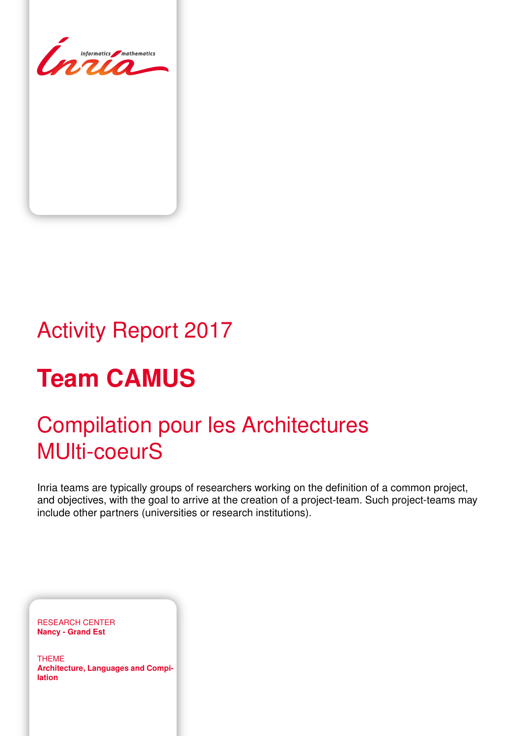

# Activity Report 2017

# **Team CAMUS**

# Compilation pour les Architectures MUlti-coeurS

Inria teams are typically groups of researchers working on the definition of a common project, and objectives, with the goal to arrive at the creation of a project-team. Such project-teams may include other partners (universities or research institutions).

RESEARCH CENTER **Nancy - Grand Est**

THEME **Architecture, Languages and Compilation**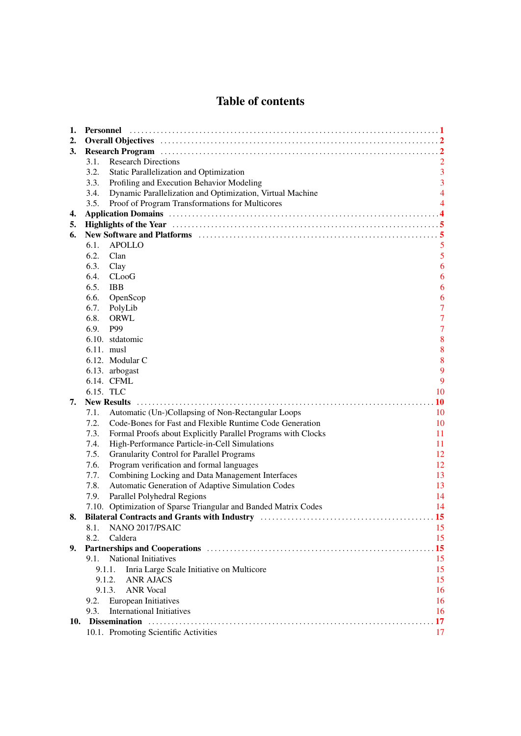# Table of contents

| 1.  |                                                                                                                                                                                                                                |                |  |  |
|-----|--------------------------------------------------------------------------------------------------------------------------------------------------------------------------------------------------------------------------------|----------------|--|--|
| 2.  |                                                                                                                                                                                                                                |                |  |  |
| 3.  |                                                                                                                                                                                                                                |                |  |  |
|     | <b>Research Directions</b><br>3.1.                                                                                                                                                                                             |                |  |  |
|     | 3.2.<br>Static Parallelization and Optimization                                                                                                                                                                                | $\overline{3}$ |  |  |
|     | 3.3.<br>Profiling and Execution Behavior Modeling                                                                                                                                                                              | 3              |  |  |
|     | Dynamic Parallelization and Optimization, Virtual Machine<br>3.4.                                                                                                                                                              | $\overline{4}$ |  |  |
|     | Proof of Program Transformations for Multicores<br>3.5.                                                                                                                                                                        | $\overline{4}$ |  |  |
| 4.  |                                                                                                                                                                                                                                |                |  |  |
| 5.  | Highlights of the Year manufacture of the Year manufacture of the Year manufacture of the Year manufacture of the Year manufacture of the Year manufacture of the Year manufacture of the Year manufacture of the Year manufac |                |  |  |
| 6.  | New Software and Platforms (1) 1996 (1) 1997 (1) 1998 (1) 1998 (1) 1998 (1) 1998 (1) 1998 (1) 1998 (1) 1999 (1) 1999 (1) 1999 (1) 1999 (1) 1999 (1) 1999 (1) 1999 (1) 1999 (1) 1999 (1) 1999 (1) 1999 (1) 1999 (1) 1999 (1) 19 |                |  |  |
|     | APOLLO<br>6.1.                                                                                                                                                                                                                 | $\mathfrak{S}$ |  |  |
|     | 6.2.<br>Clan                                                                                                                                                                                                                   | 5              |  |  |
|     | 6.3.<br>Clay                                                                                                                                                                                                                   | 6              |  |  |
|     | 6.4.<br>CLooG                                                                                                                                                                                                                  | 6              |  |  |
|     | 6.5.<br><b>IBB</b>                                                                                                                                                                                                             | 6              |  |  |
|     | 6.6.<br>OpenScop                                                                                                                                                                                                               | 6              |  |  |
|     | 6.7.<br>PolyLib                                                                                                                                                                                                                | $\overline{7}$ |  |  |
|     | 6.8.<br><b>ORWL</b>                                                                                                                                                                                                            | $\overline{7}$ |  |  |
|     | 6.9.<br>P99                                                                                                                                                                                                                    | $\overline{7}$ |  |  |
|     | 6.10. stdatomic                                                                                                                                                                                                                | 8              |  |  |
|     | 6.11. musl                                                                                                                                                                                                                     | 8              |  |  |
|     | 6.12. Modular C                                                                                                                                                                                                                | 8              |  |  |
|     | 6.13. arbogast                                                                                                                                                                                                                 | 9              |  |  |
|     | 6.14. CFML                                                                                                                                                                                                                     | 9              |  |  |
|     | 6.15. TLC                                                                                                                                                                                                                      | 10             |  |  |
| 7.  |                                                                                                                                                                                                                                | <b>10</b>      |  |  |
|     | 7.1.<br>Automatic (Un-)Collapsing of Non-Rectangular Loops                                                                                                                                                                     | 10             |  |  |
|     | 7.2.<br>Code-Bones for Fast and Flexible Runtime Code Generation                                                                                                                                                               | 10             |  |  |
|     | 7.3.<br>Formal Proofs about Explicitly Parallel Programs with Clocks                                                                                                                                                           | 11             |  |  |
|     | 7.4.<br>High-Performance Particle-in-Cell Simulations                                                                                                                                                                          | 11             |  |  |
|     | 7.5.<br><b>Granularity Control for Parallel Programs</b>                                                                                                                                                                       | 12             |  |  |
|     | 7.6.<br>Program verification and formal languages                                                                                                                                                                              | 12             |  |  |
|     | 7.7.<br>Combining Locking and Data Management Interfaces                                                                                                                                                                       | 13             |  |  |
|     | Automatic Generation of Adaptive Simulation Codes<br>7.8.                                                                                                                                                                      | 13             |  |  |
|     | 7.9.<br>Parallel Polyhedral Regions                                                                                                                                                                                            | 14             |  |  |
|     | 7.10. Optimization of Sparse Triangular and Banded Matrix Codes                                                                                                                                                                | 14             |  |  |
| 8.  | Bilateral Contracts and Grants with Industry manufactured contracts and Grants with Industry manufactured and S                                                                                                                |                |  |  |
|     | NANO 2017/PSAIC<br>8.1.                                                                                                                                                                                                        | 15             |  |  |
|     | 8.2.<br>Caldera                                                                                                                                                                                                                | 15             |  |  |
| 9.  | Partnerships and Cooperations (15) and the contract of the contract of the contract of the contract of the contract of the contract of the contract of the contract of the contract of the contract of the contract of the con |                |  |  |
|     | <b>National Initiatives</b><br>9.1.                                                                                                                                                                                            | 15             |  |  |
|     | 9.1.1.<br>Inria Large Scale Initiative on Multicore                                                                                                                                                                            | 15             |  |  |
|     | <b>ANR AJACS</b><br>9.1.2.                                                                                                                                                                                                     | 15             |  |  |
|     | 9.1.3.<br><b>ANR</b> Vocal                                                                                                                                                                                                     | 16             |  |  |
|     | 9.2.<br>European Initiatives                                                                                                                                                                                                   | 16             |  |  |
|     | <b>International Initiatives</b><br>9.3.                                                                                                                                                                                       | 16             |  |  |
| 10. |                                                                                                                                                                                                                                |                |  |  |
|     | 10.1. Promoting Scientific Activities                                                                                                                                                                                          | 17             |  |  |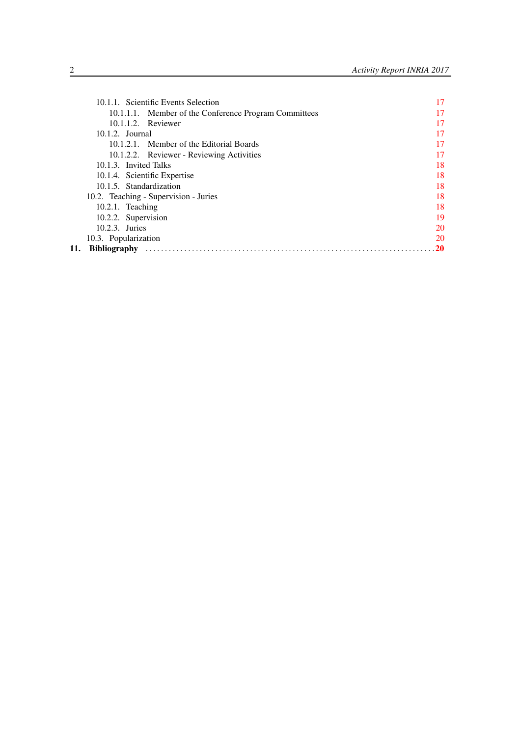| 10.1.1. Scientific Events Selection                   | 17 |
|-------------------------------------------------------|----|
| 10.1.1.1. Member of the Conference Program Committees | 17 |
| 10.1.1.2. Reviewer                                    | 17 |
| $10.1.2$ . Journal                                    | 17 |
| 10.1.2.1. Member of the Editorial Boards              | 17 |
| 10.1.2.2. Reviewer - Reviewing Activities             | 17 |
| 10.1.3. Invited Talks                                 | 18 |
| 10.1.4. Scientific Expertise                          | 18 |
| 10.1.5. Standardization                               | 18 |
| 10.2. Teaching - Supervision - Juries                 | 18 |
| $10.2.1$ . Teaching                                   | 18 |
| 10.2.2. Supervision                                   | 19 |
| 10.2.3. Juries                                        | 20 |
| 10.3. Popularization                                  | 20 |
| 11.                                                   | 20 |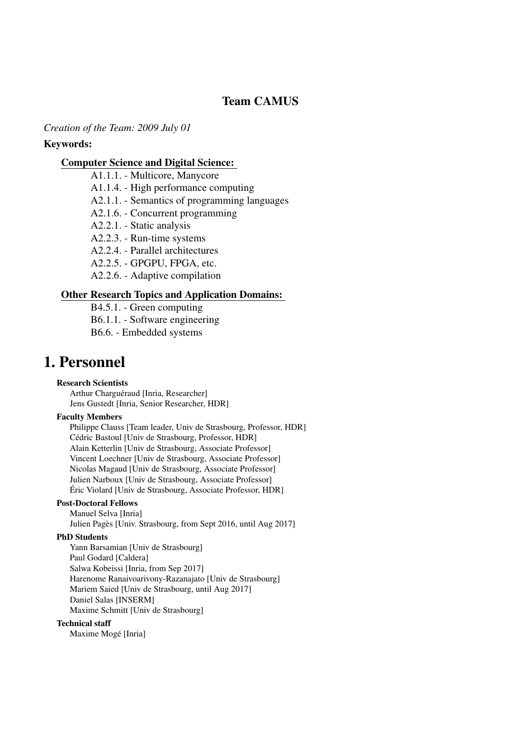# Team CAMUS

*Creation of the Team: 2009 July 01*

### Keywords:

### [Computer Science and Digital Science:](https://raweb.inria.fr/rapportsactivite/RA2017/static/keywords/ComputerScienceandDigitalScience.html)

- A1.1.1. Multicore, Manycore
- A1.1.4. High performance computing
- A2.1.1. Semantics of programming languages
- A2.1.6. Concurrent programming
- A2.2.1. Static analysis
- A2.2.3. Run-time systems
- A2.2.4. Parallel architectures
- A2.2.5. GPGPU, FPGA, etc.
- A2.2.6. Adaptive compilation

### [Other Research Topics and Application Domains:](https://raweb.inria.fr/rapportsactivite/RA2017/static/keywords/OtherResearchTopicsandApplicationDomains.html)

B4.5.1. - Green computing B6.1.1. - Software engineering B6.6. - Embedded systems

# <span id="page-4-0"></span>1. Personnel

### Research Scientists

Arthur Charguéraud [Inria, Researcher] Jens Gustedt [Inria, Senior Researcher, HDR]

### Faculty Members

Philippe Clauss [Team leader, Univ de Strasbourg, Professor, HDR] Cédric Bastoul [Univ de Strasbourg, Professor, HDR] Alain Ketterlin [Univ de Strasbourg, Associate Professor] Vincent Loechner [Univ de Strasbourg, Associate Professor] Nicolas Magaud [Univ de Strasbourg, Associate Professor] Julien Narboux [Univ de Strasbourg, Associate Professor] Éric Violard [Univ de Strasbourg, Associate Professor, HDR]

### Post-Doctoral Fellows

Manuel Selva [Inria] Julien Pagès [Univ. Strasbourg, from Sept 2016, until Aug 2017]

### PhD Students

Yann Barsamian [Univ de Strasbourg] Paul Godard [Caldera] Salwa Kobeissi [Inria, from Sep 2017] Harenome Ranaivoarivony-Razanajato [Univ de Strasbourg] Mariem Saied [Univ de Strasbourg, until Aug 2017] Daniel Salas [INSERM] Maxime Schmitt [Univ de Strasbourg]

#### Technical staff

Maxime Mogé [Inria]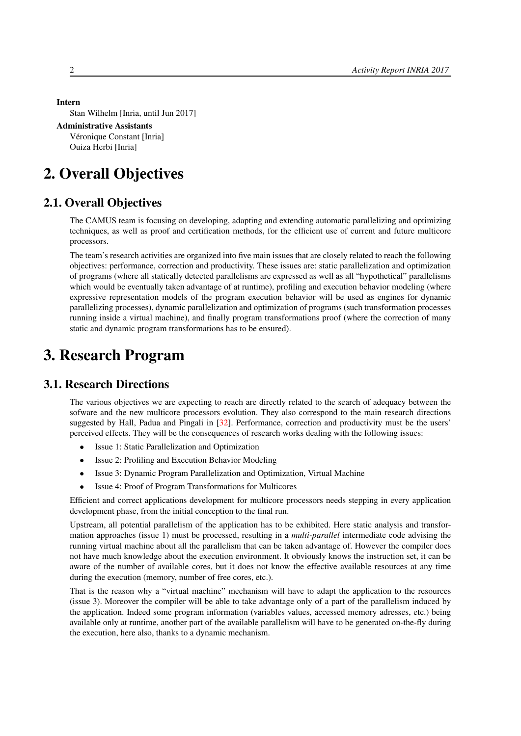```
Intern
```
Stan Wilhelm [Inria, until Jun 2017]

```
Administrative Assistants
```
Véronique Constant [Inria] Ouiza Herbi [Inria]

# <span id="page-5-0"></span>2. Overall Objectives

# 2.1. Overall Objectives

The CAMUS team is focusing on developing, adapting and extending automatic parallelizing and optimizing techniques, as well as proof and certification methods, for the efficient use of current and future multicore processors.

The team's research activities are organized into five main issues that are closely related to reach the following objectives: performance, correction and productivity. These issues are: static parallelization and optimization of programs (where all statically detected parallelisms are expressed as well as all "hypothetical" parallelisms which would be eventually taken advantage of at runtime), profiling and execution behavior modeling (where expressive representation models of the program execution behavior will be used as engines for dynamic parallelizing processes), dynamic parallelization and optimization of programs (such transformation processes running inside a virtual machine), and finally program transformations proof (where the correction of many static and dynamic program transformations has to be ensured).

# <span id="page-5-1"></span>3. Research Program

# 3.1. Research Directions

<span id="page-5-2"></span>The various objectives we are expecting to reach are directly related to the search of adequacy between the sofware and the new multicore processors evolution. They also correspond to the main research directions suggested by Hall, Padua and Pingali in [\[32\]](#page-26-0). Performance, correction and productivity must be the users' perceived effects. They will be the consequences of research works dealing with the following issues:

- Issue 1: Static Parallelization and Optimization
- Issue 2: Profiling and Execution Behavior Modeling
- Issue 3: Dynamic Program Parallelization and Optimization, Virtual Machine
- Issue 4: Proof of Program Transformations for Multicores

Efficient and correct applications development for multicore processors needs stepping in every application development phase, from the initial conception to the final run.

Upstream, all potential parallelism of the application has to be exhibited. Here static analysis and transformation approaches (issue 1) must be processed, resulting in a *multi-parallel* intermediate code advising the running virtual machine about all the parallelism that can be taken advantage of. However the compiler does not have much knowledge about the execution environment. It obviously knows the instruction set, it can be aware of the number of available cores, but it does not know the effective available resources at any time during the execution (memory, number of free cores, etc.).

That is the reason why a "virtual machine" mechanism will have to adapt the application to the resources (issue 3). Moreover the compiler will be able to take advantage only of a part of the parallelism induced by the application. Indeed some program information (variables values, accessed memory adresses, etc.) being available only at runtime, another part of the available parallelism will have to be generated on-the-fly during the execution, here also, thanks to a dynamic mechanism.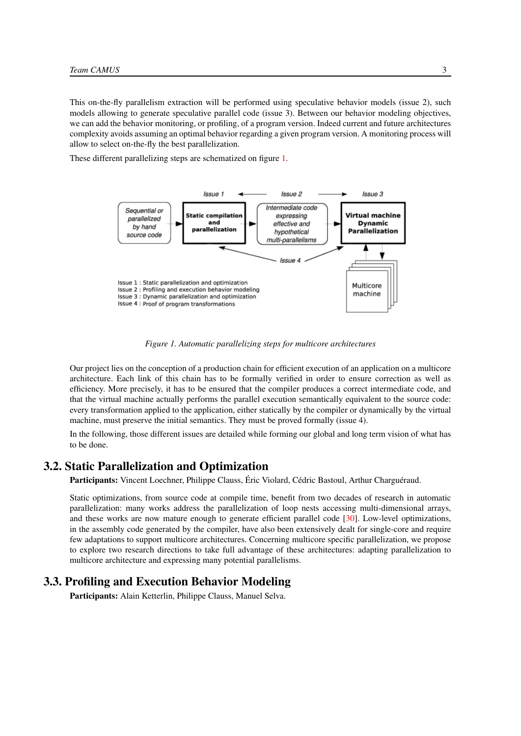This on-the-fly parallelism extraction will be performed using speculative behavior models (issue 2), such models allowing to generate speculative parallel code (issue 3). Between our behavior modeling objectives, we can add the behavior monitoring, or profiling, of a program version. Indeed current and future architectures complexity avoids assuming an optimal behavior regarding a given program version. A monitoring process will allow to select on-the-fly the best parallelization.

<span id="page-6-2"></span>These different parallelizing steps are schematized on figure [1.](#page-6-2)



*Figure 1. Automatic parallelizing steps for multicore architectures*

Our project lies on the conception of a production chain for efficient execution of an application on a multicore architecture. Each link of this chain has to be formally verified in order to ensure correction as well as efficiency. More precisely, it has to be ensured that the compiler produces a correct intermediate code, and that the virtual machine actually performs the parallel execution semantically equivalent to the source code: every transformation applied to the application, either statically by the compiler or dynamically by the virtual machine, must preserve the initial semantics. They must be proved formally (issue 4).

In the following, those different issues are detailed while forming our global and long term vision of what has to be done.

# 3.2. Static Parallelization and Optimization

<span id="page-6-0"></span>Participants: Vincent Loechner, Philippe Clauss, Éric Violard, Cédric Bastoul, Arthur Charguéraud.

Static optimizations, from source code at compile time, benefit from two decades of research in automatic parallelization: many works address the parallelization of loop nests accessing multi-dimensional arrays, and these works are now mature enough to generate efficient parallel code [\[30\]](#page-26-1). Low-level optimizations, in the assembly code generated by the compiler, have also been extensively dealt for single-core and require few adaptations to support multicore architectures. Concerning multicore specific parallelization, we propose to explore two research directions to take full advantage of these architectures: adapting parallelization to multicore architecture and expressing many potential parallelisms.

## 3.3. Profiling and Execution Behavior Modeling

<span id="page-6-1"></span>Participants: Alain Ketterlin, Philippe Clauss, Manuel Selva.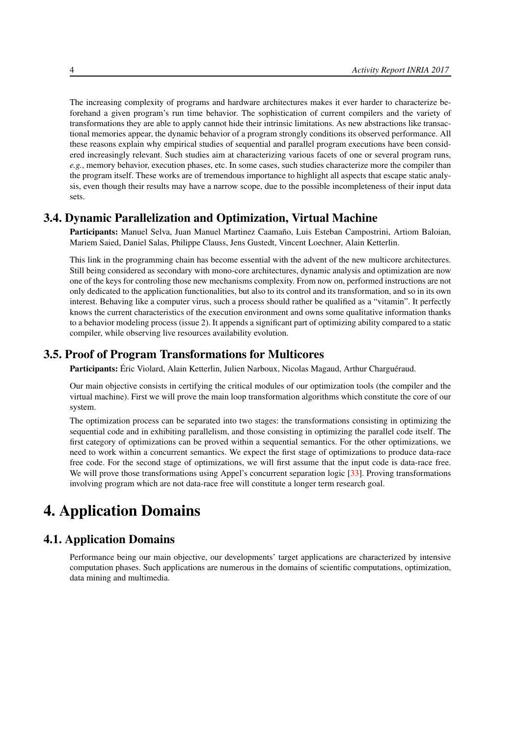The increasing complexity of programs and hardware architectures makes it ever harder to characterize beforehand a given program's run time behavior. The sophistication of current compilers and the variety of transformations they are able to apply cannot hide their intrinsic limitations. As new abstractions like transactional memories appear, the dynamic behavior of a program strongly conditions its observed performance. All these reasons explain why empirical studies of sequential and parallel program executions have been considered increasingly relevant. Such studies aim at characterizing various facets of one or several program runs, *e.g.*, memory behavior, execution phases, etc. In some cases, such studies characterize more the compiler than the program itself. These works are of tremendous importance to highlight all aspects that escape static analysis, even though their results may have a narrow scope, due to the possible incompleteness of their input data sets.

# 3.4. Dynamic Parallelization and Optimization, Virtual Machine

<span id="page-7-0"></span>Participants: Manuel Selva, Juan Manuel Martinez Caamaño, Luis Esteban Campostrini, Artiom Baloian, Mariem Saied, Daniel Salas, Philippe Clauss, Jens Gustedt, Vincent Loechner, Alain Ketterlin.

This link in the programming chain has become essential with the advent of the new multicore architectures. Still being considered as secondary with mono-core architectures, dynamic analysis and optimization are now one of the keys for controling those new mechanisms complexity. From now on, performed instructions are not only dedicated to the application functionalities, but also to its control and its transformation, and so in its own interest. Behaving like a computer virus, such a process should rather be qualified as a "vitamin". It perfectly knows the current characteristics of the execution environment and owns some qualitative information thanks to a behavior modeling process (issue 2). It appends a significant part of optimizing ability compared to a static compiler, while observing live resources availability evolution.

# 3.5. Proof of Program Transformations for Multicores

<span id="page-7-1"></span>Participants: Éric Violard, Alain Ketterlin, Julien Narboux, Nicolas Magaud, Arthur Charguéraud.

Our main objective consists in certifying the critical modules of our optimization tools (the compiler and the virtual machine). First we will prove the main loop transformation algorithms which constitute the core of our system.

The optimization process can be separated into two stages: the transformations consisting in optimizing the sequential code and in exhibiting parallelism, and those consisting in optimizing the parallel code itself. The first category of optimizations can be proved within a sequential semantics. For the other optimizations, we need to work within a concurrent semantics. We expect the first stage of optimizations to produce data-race free code. For the second stage of optimizations, we will first assume that the input code is data-race free. We will prove those transformations using Appel's concurrent separation logic [\[33\]](#page-26-2). Proving transformations involving program which are not data-race free will constitute a longer term research goal.

# <span id="page-7-2"></span>4. Application Domains

# 4.1. Application Domains

Performance being our main objective, our developments' target applications are characterized by intensive computation phases. Such applications are numerous in the domains of scientific computations, optimization, data mining and multimedia.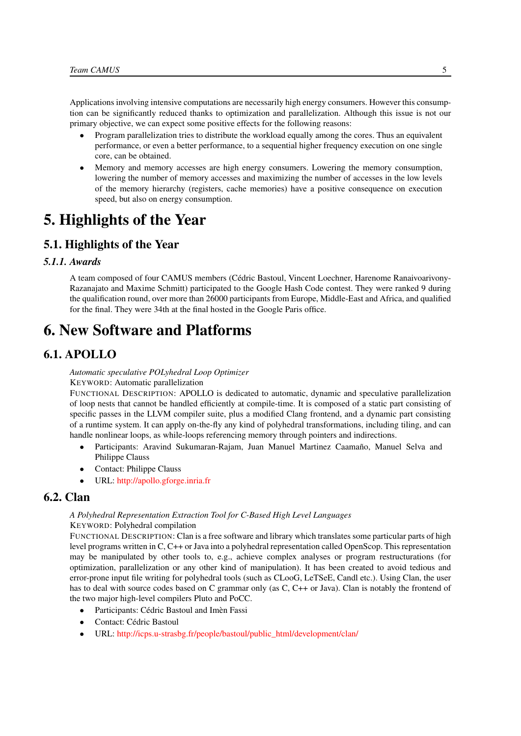Applications involving intensive computations are necessarily high energy consumers. However this consumption can be significantly reduced thanks to optimization and parallelization. Although this issue is not our primary objective, we can expect some positive effects for the following reasons:

- Program parallelization tries to distribute the workload equally among the cores. Thus an equivalent performance, or even a better performance, to a sequential higher frequency execution on one single core, can be obtained.
- Memory and memory accesses are high energy consumers. Lowering the memory consumption, lowering the number of memory accesses and maximizing the number of accesses in the low levels of the memory hierarchy (registers, cache memories) have a positive consequence on execution speed, but also on energy consumption.

# <span id="page-8-0"></span>5. Highlights of the Year

# 5.1. Highlights of the Year

### *5.1.1. Awards*

A team composed of four CAMUS members (Cédric Bastoul, Vincent Loechner, Harenome Ranaivoarivony-Razanajato and Maxime Schmitt) participated to the Google Hash Code contest. They were ranked 9 during the qualification round, over more than 26000 participants from Europe, Middle-East and Africa, and qualified for the final. They were 34th at the final hosted in the Google Paris office.

# <span id="page-8-1"></span>6. New Software and Platforms

# 6.1. APOLLO

<span id="page-8-2"></span>*Automatic speculative POLyhedral Loop Optimizer*

KEYWORD: Automatic parallelization

FUNCTIONAL DESCRIPTION: APOLLO is dedicated to automatic, dynamic and speculative parallelization of loop nests that cannot be handled efficiently at compile-time. It is composed of a static part consisting of specific passes in the LLVM compiler suite, plus a modified Clang frontend, and a dynamic part consisting of a runtime system. It can apply on-the-fly any kind of polyhedral transformations, including tiling, and can handle nonlinear loops, as while-loops referencing memory through pointers and indirections.

- Participants: Aravind Sukumaran-Rajam, Juan Manuel Martinez Caamaño, Manuel Selva and Philippe Clauss
- Contact: Philippe Clauss
- <span id="page-8-3"></span>• URL: <http://apollo.gforge.inria.fr>

# 6.2. Clan

#### *A Polyhedral Representation Extraction Tool for C-Based High Level Languages* KEYWORD: Polyhedral compilation

FUNCTIONAL DESCRIPTION: Clan is a free software and library which translates some particular parts of high level programs written in C, C++ or Java into a polyhedral representation called OpenScop. This representation may be manipulated by other tools to, e.g., achieve complex analyses or program restructurations (for optimization, parallelization or any other kind of manipulation). It has been created to avoid tedious and error-prone input file writing for polyhedral tools (such as CLooG, LeTSeE, Candl etc.). Using Clan, the user has to deal with source codes based on C grammar only (as C, C++ or Java). Clan is notably the frontend of the two major high-level compilers Pluto and PoCC.

- Participants: Cédric Bastoul and Imèn Fassi
- Contact: Cédric Bastoul
- URL: [http://icps.u-strasbg.fr/people/bastoul/public\\_html/development/clan/](http://icps.u-strasbg.fr/people/bastoul/public_html/development/clan/)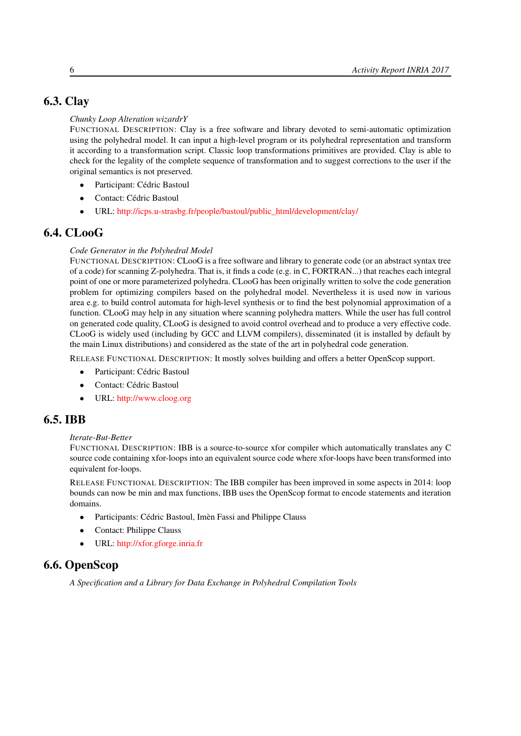# 6.3. Clay

### <span id="page-9-0"></span>*Chunky Loop Alteration wizardrY*

FUNCTIONAL DESCRIPTION: Clay is a free software and library devoted to semi-automatic optimization using the polyhedral model. It can input a high-level program or its polyhedral representation and transform it according to a transformation script. Classic loop transformations primitives are provided. Clay is able to check for the legality of the complete sequence of transformation and to suggest corrections to the user if the original semantics is not preserved.

- Participant: Cédric Bastoul
- Contact: Cédric Bastoul
- <span id="page-9-1"></span>• URL: [http://icps.u-strasbg.fr/people/bastoul/public\\_html/development/clay/](http://icps.u-strasbg.fr/people/bastoul/public_html/development/clay/)

# 6.4. CLooG

### *Code Generator in the Polyhedral Model*

FUNCTIONAL DESCRIPTION: CLooG is a free software and library to generate code (or an abstract syntax tree of a code) for scanning Z-polyhedra. That is, it finds a code (e.g. in C, FORTRAN...) that reaches each integral point of one or more parameterized polyhedra. CLooG has been originally written to solve the code generation problem for optimizing compilers based on the polyhedral model. Nevertheless it is used now in various area e.g. to build control automata for high-level synthesis or to find the best polynomial approximation of a function. CLooG may help in any situation where scanning polyhedra matters. While the user has full control on generated code quality, CLooG is designed to avoid control overhead and to produce a very effective code. CLooG is widely used (including by GCC and LLVM compilers), disseminated (it is installed by default by the main Linux distributions) and considered as the state of the art in polyhedral code generation.

RELEASE FUNCTIONAL DESCRIPTION: It mostly solves building and offers a better OpenScop support.

- Participant: Cédric Bastoul
- Contact: Cédric Bastoul
- <span id="page-9-2"></span>• URL: <http://www.cloog.org>

# 6.5. IBB

### *Iterate-But-Better*

FUNCTIONAL DESCRIPTION: IBB is a source-to-source xfor compiler which automatically translates any C source code containing xfor-loops into an equivalent source code where xfor-loops have been transformed into equivalent for-loops.

RELEASE FUNCTIONAL DESCRIPTION: The IBB compiler has been improved in some aspects in 2014: loop bounds can now be min and max functions, IBB uses the OpenScop format to encode statements and iteration domains.

- Participants: Cédric Bastoul, Imèn Fassi and Philippe Clauss
- Contact: Philippe Clauss
- <span id="page-9-3"></span>• URL: <http://xfor.gforge.inria.fr>

# 6.6. OpenScop

*A Specification and a Library for Data Exchange in Polyhedral Compilation Tools*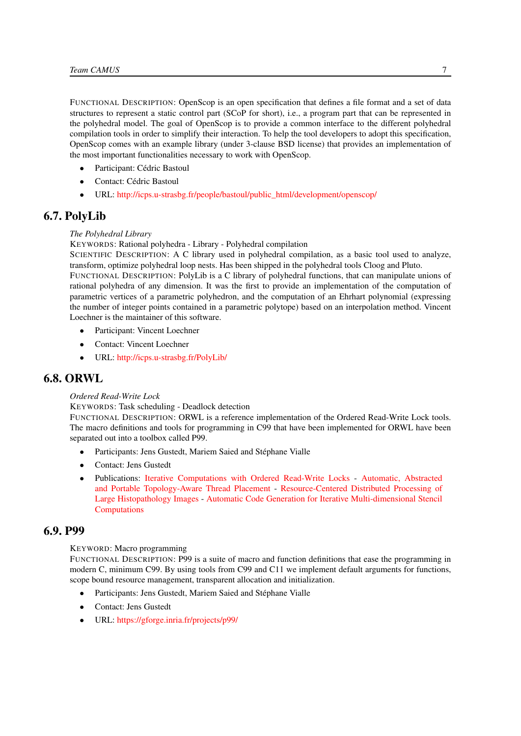FUNCTIONAL DESCRIPTION: OpenScop is an open specification that defines a file format and a set of data structures to represent a static control part (SCoP for short), i.e., a program part that can be represented in the polyhedral model. The goal of OpenScop is to provide a common interface to the different polyhedral compilation tools in order to simplify their interaction. To help the tool developers to adopt this specification, OpenScop comes with an example library (under 3-clause BSD license) that provides an implementation of the most important functionalities necessary to work with OpenScop.

- Participant: Cédric Bastoul
- Contact: Cédric Bastoul
- <span id="page-10-0"></span>• URL: [http://icps.u-strasbg.fr/people/bastoul/public\\_html/development/openscop/](http://icps.u-strasbg.fr/people/bastoul/public_html/development/openscop/)

# 6.7. PolyLib

### *The Polyhedral Library*

KEYWORDS: Rational polyhedra - Library - Polyhedral compilation

SCIENTIFIC DESCRIPTION: A C library used in polyhedral compilation, as a basic tool used to analyze, transform, optimize polyhedral loop nests. Has been shipped in the polyhedral tools Cloog and Pluto.

FUNCTIONAL DESCRIPTION: PolyLib is a C library of polyhedral functions, that can manipulate unions of rational polyhedra of any dimension. It was the first to provide an implementation of the computation of parametric vertices of a parametric polyhedron, and the computation of an Ehrhart polynomial (expressing the number of integer points contained in a parametric polytope) based on an interpolation method. Vincent Loechner is the maintainer of this software.

- Participant: Vincent Loechner
- Contact: Vincent Loechner
- <span id="page-10-1"></span>• URL: <http://icps.u-strasbg.fr/PolyLib/>

# 6.8. ORWL

#### *Ordered Read-Write Lock*

KEYWORDS: Task scheduling - Deadlock detection

FUNCTIONAL DESCRIPTION: ORWL is a reference implementation of the Ordered Read-Write Lock tools. The macro definitions and tools for programming in C99 that have been implemented for ORWL have been separated out into a toolbox called P99.

- Participants: Jens Gustedt, Mariem Saied and Stéphane Vialle
- Contact: Jens Gustedt
- Publications: [Iterative Computations with Ordered Read-Write Locks](https://hal.inria.fr/inria-00330024) [Automatic, Abstracted](https://hal.inria.fr/hal-01621936) [and Portable Topology-Aware Thread Placement](https://hal.inria.fr/hal-01621936) - [Resource-Centered Distributed Processing of](https://hal.inria.fr/hal-01325648) [Large Histopathology Images](https://hal.inria.fr/hal-01325648) - [Automatic Code Generation for Iterative Multi-dimensional Stencil](https://hal.inria.fr/hal-01337093) [Computations](https://hal.inria.fr/hal-01337093)

### 6.9. P99

#### <span id="page-10-2"></span>KEYWORD: Macro programming

FUNCTIONAL DESCRIPTION: P99 is a suite of macro and function definitions that ease the programming in modern C, minimum C99. By using tools from C99 and C11 we implement default arguments for functions, scope bound resource management, transparent allocation and initialization.

- Participants: Jens Gustedt, Mariem Saied and Stéphane Vialle
- Contact: Jens Gustedt
- URL: <https://gforge.inria.fr/projects/p99/>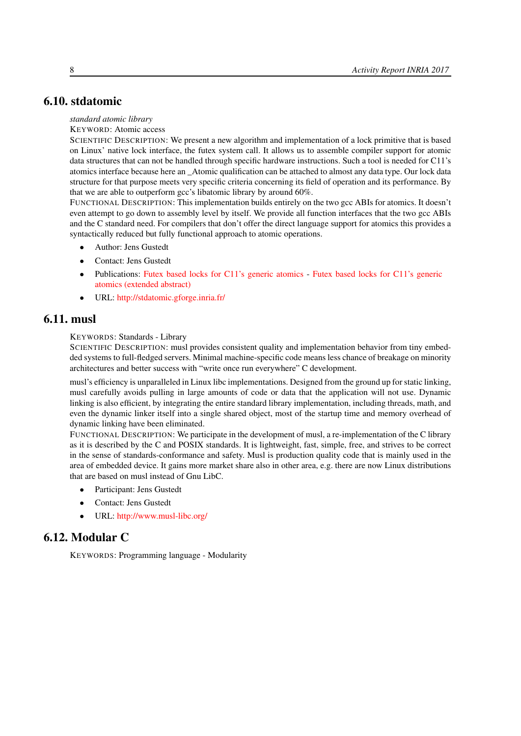# 6.10. stdatomic

#### <span id="page-11-0"></span>*standard atomic library*

#### KEYWORD: Atomic access

SCIENTIFIC DESCRIPTION: We present a new algorithm and implementation of a lock primitive that is based on Linux' native lock interface, the futex system call. It allows us to assemble compiler support for atomic data structures that can not be handled through specific hardware instructions. Such a tool is needed for C11's atomics interface because here an \_Atomic qualification can be attached to almost any data type. Our lock data structure for that purpose meets very specific criteria concerning its field of operation and its performance. By that we are able to outperform gcc's libatomic library by around 60%.

FUNCTIONAL DESCRIPTION: This implementation builds entirely on the two gcc ABIs for atomics. It doesn't even attempt to go down to assembly level by itself. We provide all function interfaces that the two gcc ABIs and the C standard need. For compilers that don't offer the direct language support for atomics this provides a syntactically reduced but fully functional approach to atomic operations.

- Author: Jens Gustedt
- Contact: Jens Gustedt
- Publications: [Futex based locks for C11's generic atomics](https://hal.inria.fr/hal-01236734) [Futex based locks for C11's generic](https://hal.inria.fr/hal-01304108) [atomics \(extended abstract\)](https://hal.inria.fr/hal-01304108)
- <span id="page-11-1"></span>• URL: <http://stdatomic.gforge.inria.fr/>

# 6.11. musl

#### KEYWORDS: Standards - Library

SCIENTIFIC DESCRIPTION: musl provides consistent quality and implementation behavior from tiny embedded systems to full-fledged servers. Minimal machine-specific code means less chance of breakage on minority architectures and better success with "write once run everywhere" C development.

musl's efficiency is unparalleled in Linux libc implementations. Designed from the ground up for static linking, musl carefully avoids pulling in large amounts of code or data that the application will not use. Dynamic linking is also efficient, by integrating the entire standard library implementation, including threads, math, and even the dynamic linker itself into a single shared object, most of the startup time and memory overhead of dynamic linking have been eliminated.

FUNCTIONAL DESCRIPTION: We participate in the development of musl, a re-implementation of the C library as it is described by the C and POSIX standards. It is lightweight, fast, simple, free, and strives to be correct in the sense of standards-conformance and safety. Musl is production quality code that is mainly used in the area of embedded device. It gains more market share also in other area, e.g. there are now Linux distributions that are based on musl instead of Gnu LibC.

- Participant: Jens Gustedt
- Contact: Jens Gustedt
- <span id="page-11-2"></span>• URL: <http://www.musl-libc.org/>

# 6.12. Modular C

KEYWORDS: Programming language - Modularity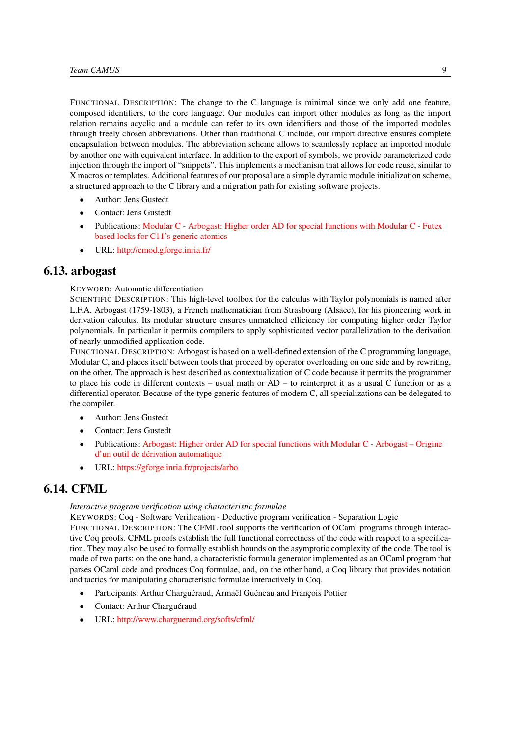FUNCTIONAL DESCRIPTION: The change to the C language is minimal since we only add one feature, composed identifiers, to the core language. Our modules can import other modules as long as the import relation remains acyclic and a module can refer to its own identifiers and those of the imported modules through freely chosen abbreviations. Other than traditional C include, our import directive ensures complete encapsulation between modules. The abbreviation scheme allows to seamlessly replace an imported module by another one with equivalent interface. In addition to the export of symbols, we provide parameterized code injection through the import of "snippets". This implements a mechanism that allows for code reuse, similar to X macros or templates. Additional features of our proposal are a simple dynamic module initialization scheme, a structured approach to the C library and a migration path for existing software projects.

- Author: Jens Gustedt
- Contact: Jens Gustedt
- Publications: [Modular C](https://hal.inria.fr/hal-01169491) [Arbogast: Higher order AD for special functions with Modular C](https://hal.inria.fr/hal-01307750) [Futex](https://hal.inria.fr/hal-01236734) [based locks for C11's generic atomics](https://hal.inria.fr/hal-01236734)
- <span id="page-12-0"></span>• URL: <http://cmod.gforge.inria.fr/>

### 6.13. arbogast

KEYWORD: Automatic differentiation

SCIENTIFIC DESCRIPTION: This high-level toolbox for the calculus with Taylor polynomials is named after L.F.A. Arbogast (1759-1803), a French mathematician from Strasbourg (Alsace), for his pioneering work in derivation calculus. Its modular structure ensures unmatched efficiency for computing higher order Taylor polynomials. In particular it permits compilers to apply sophisticated vector parallelization to the derivation of nearly unmodified application code.

FUNCTIONAL DESCRIPTION: Arbogast is based on a well-defined extension of the C programming language, Modular C, and places itself between tools that proceed by operator overloading on one side and by rewriting, on the other. The approach is best described as contextualization of C code because it permits the programmer to place his code in different contexts – usual math or AD – to reinterpret it as a usual C function or as a differential operator. Because of the type generic features of modern C, all specializations can be delegated to the compiler.

- Author: Jens Gustedt
- Contact: Jens Gustedt
- Publications: [Arbogast: Higher order AD for special functions with Modular C](https://hal.inria.fr/hal-01307750) [Arbogast Origine](https://hal.inria.fr/hal-01313355) [d'un outil de dérivation automatique](https://hal.inria.fr/hal-01313355)
- <span id="page-12-1"></span>• URL: <https://gforge.inria.fr/projects/arbo>

# 6.14. CFML

#### *Interactive program verification using characteristic formulae*

KEYWORDS: Coq - Software Verification - Deductive program verification - Separation Logic

FUNCTIONAL DESCRIPTION: The CFML tool supports the verification of OCaml programs through interactive Coq proofs. CFML proofs establish the full functional correctness of the code with respect to a specification. They may also be used to formally establish bounds on the asymptotic complexity of the code. The tool is made of two parts: on the one hand, a characteristic formula generator implemented as an OCaml program that parses OCaml code and produces Coq formulae, and, on the other hand, a Coq library that provides notation and tactics for manipulating characteristic formulae interactively in Coq.

- Participants: Arthur Charguéraud, Armaël Guéneau and François Pottier
- Contact: Arthur Charguéraud
- URL: <http://www.chargueraud.org/softs/cfml/>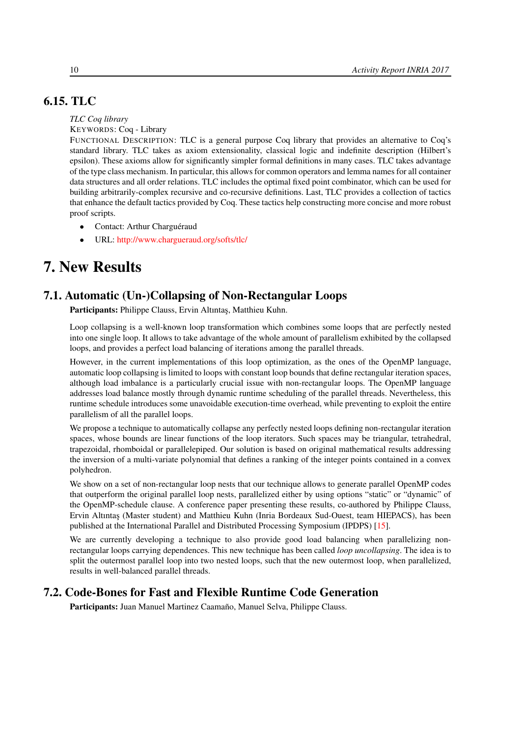# 6.15. TLC

### <span id="page-13-0"></span>*TLC Coq library*

### KEYWORDS: Coq - Library

FUNCTIONAL DESCRIPTION: TLC is a general purpose Coq library that provides an alternative to Coq's standard library. TLC takes as axiom extensionality, classical logic and indefinite description (Hilbert's epsilon). These axioms allow for significantly simpler formal definitions in many cases. TLC takes advantage of the type class mechanism. In particular, this allows for common operators and lemma names for all container data structures and all order relations. TLC includes the optimal fixed point combinator, which can be used for building arbitrarily-complex recursive and co-recursive definitions. Last, TLC provides a collection of tactics that enhance the default tactics provided by Coq. These tactics help constructing more concise and more robust proof scripts.

- Contact: Arthur Charguéraud
- <span id="page-13-1"></span>• URL: <http://www.chargueraud.org/softs/tlc/>

# 7. New Results

# 7.1. Automatic (Un-)Collapsing of Non-Rectangular Loops

<span id="page-13-2"></span>Participants: Philippe Clauss, Ervin Altıntaş, Matthieu Kuhn.

Loop collapsing is a well-known loop transformation which combines some loops that are perfectly nested into one single loop. It allows to take advantage of the whole amount of parallelism exhibited by the collapsed loops, and provides a perfect load balancing of iterations among the parallel threads.

However, in the current implementations of this loop optimization, as the ones of the OpenMP language, automatic loop collapsing is limited to loops with constant loop bounds that define rectangular iteration spaces, although load imbalance is a particularly crucial issue with non-rectangular loops. The OpenMP language addresses load balance mostly through dynamic runtime scheduling of the parallel threads. Nevertheless, this runtime schedule introduces some unavoidable execution-time overhead, while preventing to exploit the entire parallelism of all the parallel loops.

We propose a technique to automatically collapse any perfectly nested loops defining non-rectangular iteration spaces, whose bounds are linear functions of the loop iterators. Such spaces may be triangular, tetrahedral, trapezoidal, rhomboidal or parallelepiped. Our solution is based on original mathematical results addressing the inversion of a multi-variate polynomial that defines a ranking of the integer points contained in a convex polyhedron.

We show on a set of non-rectangular loop nests that our technique allows to generate parallel OpenMP codes that outperform the original parallel loop nests, parallelized either by using options "static" or "dynamic" of the OpenMP-schedule clause. A conference paper presenting these results, co-authored by Philippe Clauss, Ervin Altıntaş (Master student) and Matthieu Kuhn (Inria Bordeaux Sud-Ouest, team HIEPACS), has been published at the International Parallel and Distributed Processing Symposium (IPDPS) [\[15\]](#page-24-0).

We are currently developing a technique to also provide good load balancing when parallelizing nonrectangular loops carrying dependences. This new technique has been called *loop uncollapsing*. The idea is to split the outermost parallel loop into two nested loops, such that the new outermost loop, when parallelized, results in well-balanced parallel threads.

# 7.2. Code-Bones for Fast and Flexible Runtime Code Generation

<span id="page-13-3"></span>Participants: Juan Manuel Martinez Caamaño, Manuel Selva, Philippe Clauss.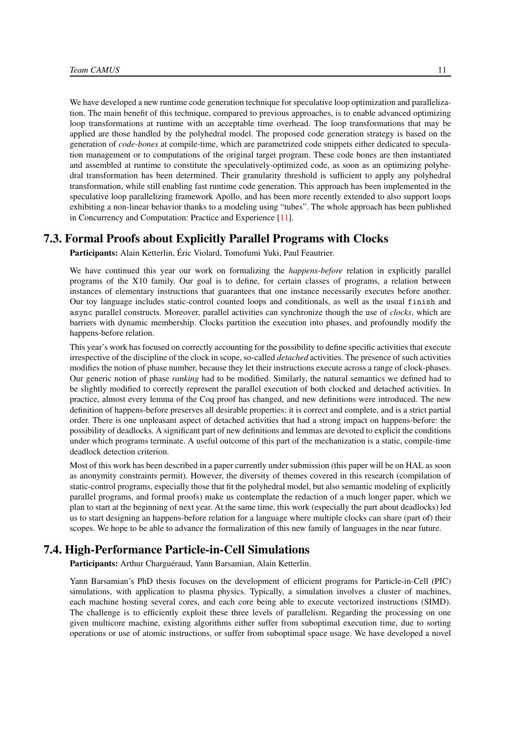We have developed a new runtime code generation technique for speculative loop optimization and parallelization. The main benefit of this technique, compared to previous approaches, is to enable advanced optimizing loop transformations at runtime with an acceptable time overhead. The loop transformations that may be applied are those handled by the polyhedral model. The proposed code generation strategy is based on the generation of *code-bones* at compile-time, which are parametrized code snippets either dedicated to speculation management or to computations of the original target program. These code bones are then instantiated and assembled at runtime to constitute the speculatively-optimized code, as soon as an optimizing polyhedral transformation has been determined. Their granularity threshold is sufficient to apply any polyhedral transformation, while still enabling fast runtime code generation. This approach has been implemented in the speculative loop parallelizing framework Apollo, and has been more recently extended to also support loops exhibiting a non-linear behavior thanks to a modeling using "tubes". The whole approach has been published in Concurrency and Computation: Practice and Experience [\[11\]](#page-24-1).

## 7.3. Formal Proofs about Explicitly Parallel Programs with Clocks

<span id="page-14-0"></span>Participants: Alain Ketterlin, Éric Violard, Tomofumi Yuki, Paul Feautrier.

We have continued this year our work on formalizing the *happens-before* relation in explicitly parallel programs of the X10 family. Our goal is to define, for certain classes of programs, a relation between instances of elementary instructions that guarantees that one instance necessarily executes before another. Our toy language includes static-control counted loops and conditionals, as well as the usual finish and async parallel constructs. Moreover, parallel activities can synchronize though the use of *clocks*, which are barriers with dynamic membership. Clocks partition the execution into phases, and profoundly modify the happens-before relation.

This year's work has focused on correctly accounting for the possibility to define specific activities that execute irrespective of the discipline of the clock in scope, so-called *detached* activities. The presence of such activities modifies the notion of phase number, because they let their instructions execute across a range of clock-phases. Our generic notion of phase *ranking* had to be modified. Similarly, the natural semantics we defined had to be slightly modified to correctly represent the parallel execution of both clocked and detached activities. In practice, almost every lemma of the Coq proof has changed, and new definitions were introduced. The new definition of happens-before preserves all desirable properties: it is correct and complete, and is a strict partial order. There is one unpleasant aspect of detached activities that had a strong impact on happens-before: the possibility of deadlocks. A significant part of new definitions and lemmas are devoted to explicit the conditions under which programs terminate. A useful outcome of this part of the mechanization is a static, compile-time deadlock detection criterion.

Most of this work has been described in a paper currently under submission (this paper will be on HAL as soon as anonymity constraints permit). However, the diversity of themes covered in this research (compilation of static-control programs, especially those that fit the polyhedral model, but also semantic modeling of explicitly parallel programs, and formal proofs) make us contemplate the redaction of a much longer paper, which we plan to start at the beginning of next year. At the same time, this work (especially the part about deadlocks) led us to start designing an happens-before relation for a language where multiple clocks can share (part of) their scopes. We hope to be able to advance the formalization of this new family of languages in the near future.

# 7.4. High-Performance Particle-in-Cell Simulations

<span id="page-14-1"></span>Participants: Arthur Charguéraud, Yann Barsamian, Alain Ketterlin.

Yann Barsamian's PhD thesis focuses on the development of efficient programs for Particle-in-Cell (PIC) simulations, with application to plasma physics. Typically, a simulation involves a cluster of machines, each machine hosting several cores, and each core being able to execute vectorized instructions (SIMD). The challenge is to efficiently exploit these three levels of parallelism. Regarding the processing on one given multicore machine, existing algorithms either suffer from suboptimal execution time, due to sorting operations or use of atomic instructions, or suffer from suboptimal space usage. We have developed a novel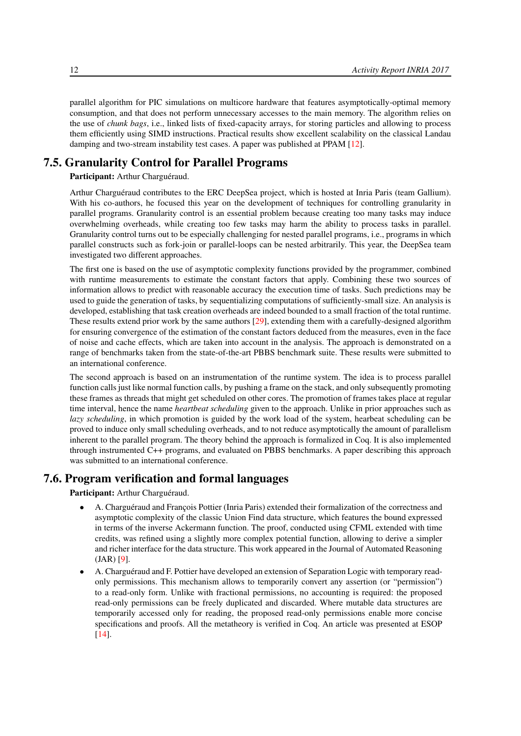parallel algorithm for PIC simulations on multicore hardware that features asymptotically-optimal memory consumption, and that does not perform unnecessary accesses to the main memory. The algorithm relies on the use of *chunk bags*, i.e., linked lists of fixed-capacity arrays, for storing particles and allowing to process them efficiently using SIMD instructions. Practical results show excellent scalability on the classical Landau damping and two-stream instability test cases. A paper was published at PPAM [\[12\]](#page-24-2).

# 7.5. Granularity Control for Parallel Programs

<span id="page-15-0"></span>Participant: Arthur Charguéraud.

Arthur Charguéraud contributes to the ERC DeepSea project, which is hosted at Inria Paris (team Gallium). With his co-authors, he focused this year on the development of techniques for controlling granularity in parallel programs. Granularity control is an essential problem because creating too many tasks may induce overwhelming overheads, while creating too few tasks may harm the ability to process tasks in parallel. Granularity control turns out to be especially challenging for nested parallel programs, i.e., programs in which parallel constructs such as fork-join or parallel-loops can be nested arbitrarily. This year, the DeepSea team investigated two different approaches.

The first one is based on the use of asymptotic complexity functions provided by the programmer, combined with runtime measurements to estimate the constant factors that apply. Combining these two sources of information allows to predict with reasonable accuracy the execution time of tasks. Such predictions may be used to guide the generation of tasks, by sequentializing computations of sufficiently-small size. An analysis is developed, establishing that task creation overheads are indeed bounded to a small fraction of the total runtime. These results extend prior work by the same authors [\[29\]](#page-26-3), extending them with a carefully-designed algorithm for ensuring convergence of the estimation of the constant factors deduced from the measures, even in the face of noise and cache effects, which are taken into account in the analysis. The approach is demonstrated on a range of benchmarks taken from the state-of-the-art PBBS benchmark suite. These results were submitted to an international conference.

The second approach is based on an instrumentation of the runtime system. The idea is to process parallel function calls just like normal function calls, by pushing a frame on the stack, and only subsequently promoting these frames as threads that might get scheduled on other cores. The promotion of frames takes place at regular time interval, hence the name *heartbeat scheduling* given to the approach. Unlike in prior approaches such as *lazy scheduling*, in which promotion is guided by the work load of the system, hearbeat scheduling can be proved to induce only small scheduling overheads, and to not reduce asymptotically the amount of parallelism inherent to the parallel program. The theory behind the approach is formalized in Coq. It is also implemented through instrumented C++ programs, and evaluated on PBBS benchmarks. A paper describing this approach was submitted to an international conference.

## 7.6. Program verification and formal languages

<span id="page-15-1"></span>Participant: Arthur Charguéraud.

- A. Charguéraud and François Pottier (Inria Paris) extended their formalization of the correctness and asymptotic complexity of the classic Union Find data structure, which features the bound expressed in terms of the inverse Ackermann function. The proof, conducted using CFML extended with time credits, was refined using a slightly more complex potential function, allowing to derive a simpler and richer interface for the data structure. This work appeared in the Journal of Automated Reasoning (JAR) [\[9\]](#page-24-3).
- A. Charguéraud and F. Pottier have developed an extension of Separation Logic with temporary readonly permissions. This mechanism allows to temporarily convert any assertion (or "permission") to a read-only form. Unlike with fractional permissions, no accounting is required: the proposed read-only permissions can be freely duplicated and discarded. Where mutable data structures are temporarily accessed only for reading, the proposed read-only permissions enable more concise specifications and proofs. All the metatheory is verified in Coq. An article was presented at ESOP [\[14\]](#page-24-4).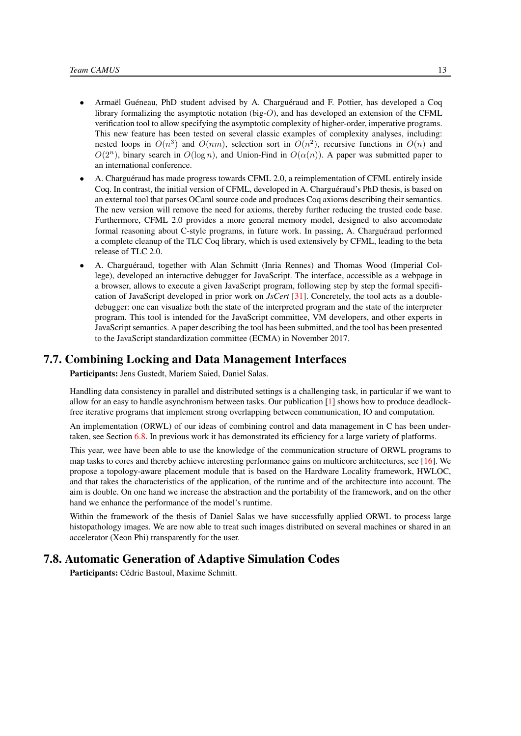- Armaël Guéneau, PhD student advised by A. Charguéraud and F. Pottier, has developed a Coq library formalizing the asymptotic notation (big-O), and has developed an extension of the CFML verification tool to allow specifying the asymptotic complexity of higher-order, imperative programs. This new feature has been tested on several classic examples of complexity analyses, including: nested loops in  $O(n^3)$  and  $O(nm)$ , selection sort in  $O(n^2)$ , recursive functions in  $O(n)$  and  $O(2^n)$ , binary search in  $O(\log n)$ , and Union-Find in  $O(\alpha(n))$ . A paper was submitted paper to an international conference.
- A. Charguéraud has made progress towards CFML 2.0, a reimplementation of CFML entirely inside Coq. In contrast, the initial version of CFML, developed in A. Charguéraud's PhD thesis, is based on an external tool that parses OCaml source code and produces Coq axioms describing their semantics. The new version will remove the need for axioms, thereby further reducing the trusted code base. Furthermore, CFML 2.0 provides a more general memory model, designed to also accomodate formal reasoning about C-style programs, in future work. In passing, A. Charguéraud performed a complete cleanup of the TLC Coq library, which is used extensively by CFML, leading to the beta release of TLC 2.0.
- A. Charguéraud, together with Alan Schmitt (Inria Rennes) and Thomas Wood (Imperial College), developed an interactive debugger for JavaScript. The interface, accessible as a webpage in a browser, allows to execute a given JavaScript program, following step by step the formal specification of JavaScript developed in prior work on *JsCert* [\[31\]](#page-26-4). Concretely, the tool acts as a doubledebugger: one can visualize both the state of the interpreted program and the state of the interpreter program. This tool is intended for the JavaScript committee, VM developers, and other experts in JavaScript semantics. A paper describing the tool has been submitted, and the tool has been presented to the JavaScript standardization committee (ECMA) in November 2017.

# 7.7. Combining Locking and Data Management Interfaces

<span id="page-16-0"></span>Participants: Jens Gustedt, Mariem Saied, Daniel Salas.

Handling data consistency in parallel and distributed settings is a challenging task, in particular if we want to allow for an easy to handle asynchronism between tasks. Our publication  $[1]$  shows how to produce deadlockfree iterative programs that implement strong overlapping between communication, IO and computation.

An implementation (ORWL) of our ideas of combining control and data management in C has been undertaken, see Section [6.8.](#page-10-1) In previous work it has demonstrated its efficiency for a large variety of platforms.

This year, wee have been able to use the knowledge of the communication structure of ORWL programs to map tasks to cores and thereby achieve interesting performance gains on multicore architectures, see [\[16\]](#page-24-5). We propose a topology-aware placement module that is based on the Hardware Locality framework, HWLOC, and that takes the characteristics of the application, of the runtime and of the architecture into account. The aim is double. On one hand we increase the abstraction and the portability of the framework, and on the other hand we enhance the performance of the model's runtime.

Within the framework of the thesis of Daniel Salas we have successfully applied ORWL to process large histopathology images. We are now able to treat such images distributed on several machines or shared in an accelerator (Xeon Phi) transparently for the user.

# 7.8. Automatic Generation of Adaptive Simulation Codes

<span id="page-16-1"></span>Participants: Cédric Bastoul, Maxime Schmitt.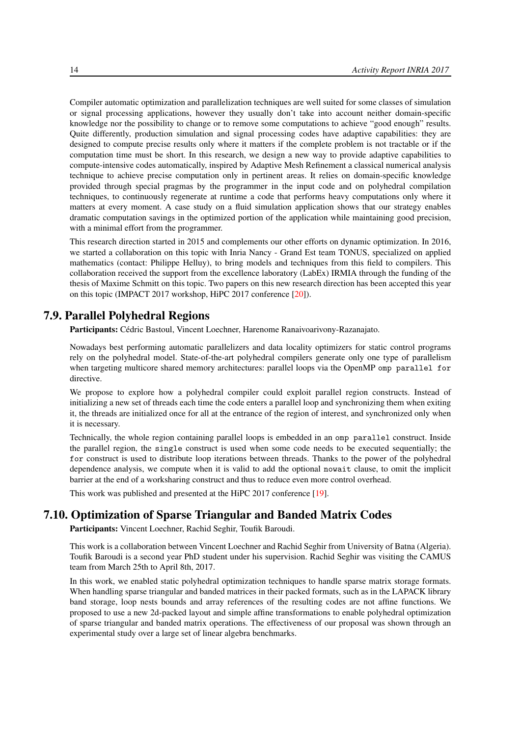Compiler automatic optimization and parallelization techniques are well suited for some classes of simulation or signal processing applications, however they usually don't take into account neither domain-specific knowledge nor the possibility to change or to remove some computations to achieve "good enough" results. Quite differently, production simulation and signal processing codes have adaptive capabilities: they are designed to compute precise results only where it matters if the complete problem is not tractable or if the computation time must be short. In this research, we design a new way to provide adaptive capabilities to compute-intensive codes automatically, inspired by Adaptive Mesh Refinement a classical numerical analysis technique to achieve precise computation only in pertinent areas. It relies on domain-specific knowledge provided through special pragmas by the programmer in the input code and on polyhedral compilation techniques, to continuously regenerate at runtime a code that performs heavy computations only where it matters at every moment. A case study on a fluid simulation application shows that our strategy enables dramatic computation savings in the optimized portion of the application while maintaining good precision, with a minimal effort from the programmer.

This research direction started in 2015 and complements our other efforts on dynamic optimization. In 2016, we started a collaboration on this topic with Inria Nancy - Grand Est team TONUS, specialized on applied mathematics (contact: Philippe Helluy), to bring models and techniques from this field to compilers. This collaboration received the support from the excellence laboratory (LabEx) IRMIA through the funding of the thesis of Maxime Schmitt on this topic. Two papers on this new research direction has been accepted this year on this topic (IMPACT 2017 workshop, HiPC 2017 conference [\[20\]](#page-25-0)).

## 7.9. Parallel Polyhedral Regions

<span id="page-17-0"></span>Participants: Cédric Bastoul, Vincent Loechner, Harenome Ranaivoarivony-Razanajato.

Nowadays best performing automatic parallelizers and data locality optimizers for static control programs rely on the polyhedral model. State-of-the-art polyhedral compilers generate only one type of parallelism when targeting multicore shared memory architectures: parallel loops via the OpenMP omp parallel for directive.

We propose to explore how a polyhedral compiler could exploit parallel region constructs. Instead of initializing a new set of threads each time the code enters a parallel loop and synchronizing them when exiting it, the threads are initialized once for all at the entrance of the region of interest, and synchronized only when it is necessary.

Technically, the whole region containing parallel loops is embedded in an omp parallel construct. Inside the parallel region, the single construct is used when some code needs to be executed sequentially; the for construct is used to distribute loop iterations between threads. Thanks to the power of the polyhedral dependence analysis, we compute when it is valid to add the optional nowait clause, to omit the implicit barrier at the end of a worksharing construct and thus to reduce even more control overhead.

<span id="page-17-1"></span>This work was published and presented at the HiPC 2017 conference [\[19\]](#page-25-1).

# 7.10. Optimization of Sparse Triangular and Banded Matrix Codes

Participants: Vincent Loechner, Rachid Seghir, Toufik Baroudi.

This work is a collaboration between Vincent Loechner and Rachid Seghir from University of Batna (Algeria). Toufik Baroudi is a second year PhD student under his supervision. Rachid Seghir was visiting the CAMUS team from March 25th to April 8th, 2017.

In this work, we enabled static polyhedral optimization techniques to handle sparse matrix storage formats. When handling sparse triangular and banded matrices in their packed formats, such as in the LAPACK library band storage, loop nests bounds and array references of the resulting codes are not affine functions. We proposed to use a new 2d-packed layout and simple affine transformations to enable polyhedral optimization of sparse triangular and banded matrix operations. The effectiveness of our proposal was shown through an experimental study over a large set of linear algebra benchmarks.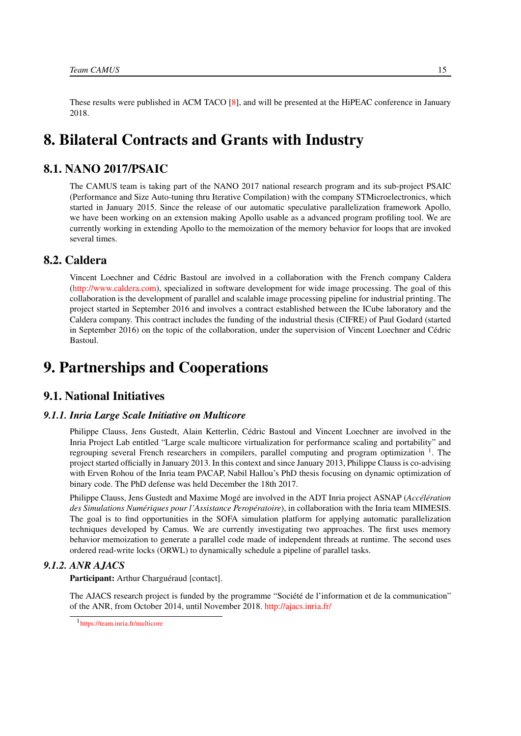<span id="page-18-0"></span>These results were published in ACM TACO [\[8\]](#page-24-6), and will be presented at the HiPEAC conference in January 2018.

# 8. Bilateral Contracts and Grants with Industry

# 8.1. NANO 2017/PSAIC

<span id="page-18-1"></span>The CAMUS team is taking part of the NANO 2017 national research program and its sub-project PSAIC (Performance and Size Auto-tuning thru Iterative Compilation) with the company STMicroelectronics, which started in January 2015. Since the release of our automatic speculative parallelization framework Apollo, we have been working on an extension making Apollo usable as a advanced program profiling tool. We are currently working in extending Apollo to the memoization of the memory behavior for loops that are invoked several times.

# 8.2. Caldera

<span id="page-18-2"></span>Vincent Loechner and Cédric Bastoul are involved in a collaboration with the French company Caldera [\(http://www.caldera.com\)](http://www.caldera.com), specialized in software development for wide image processing. The goal of this collaboration is the development of parallel and scalable image processing pipeline for industrial printing. The project started in September 2016 and involves a contract established between the ICube laboratory and the Caldera company. This contract includes the funding of the industrial thesis (CIFRE) of Paul Godard (started in September 2016) on the topic of the collaboration, under the supervision of Vincent Loechner and Cédric Bastoul.

# <span id="page-18-3"></span>9. Partnerships and Cooperations

# <span id="page-18-4"></span>9.1. National Initiatives

## *9.1.1. Inria Large Scale Initiative on Multicore*

<span id="page-18-5"></span>Philippe Clauss, Jens Gustedt, Alain Ketterlin, Cédric Bastoul and Vincent Loechner are involved in the Inria Project Lab entitled "Large scale multicore virtualization for performance scaling and portability" and regrouping several French researchers in compilers, parallel computing and program optimization <sup>1</sup>. The project started officially in January 2013. In this context and since January 2013, Philippe Clauss is co-advising with Erven Rohou of the Inria team PACAP, Nabil Hallou's PhD thesis focusing on dynamic optimization of binary code. The PhD defense was held December the 18th 2017.

Philippe Clauss, Jens Gustedt and Maxime Mogé are involved in the ADT Inria project ASNAP (*Accélération des Simulations Numériques pour l'Assistance Peropératoire*), in collaboration with the Inria team MIMESIS. The goal is to find opportunities in the SOFA simulation platform for applying automatic parallelization techniques developed by Camus. We are currently investigating two approaches. The first uses memory behavior memoization to generate a parallel code made of independent threads at runtime. The second uses ordered read-write locks (ORWL) to dynamically schedule a pipeline of parallel tasks.

### *9.1.2. ANR AJACS*

<span id="page-18-6"></span>Participant: Arthur Charguéraud [contact].

The AJACS research project is funded by the programme "Société de l'information et de la communication" of the ANR, from October 2014, until November 2018. <http://ajacs.inria.fr/>

<sup>1</sup> <https://team.inria.fr/multicore>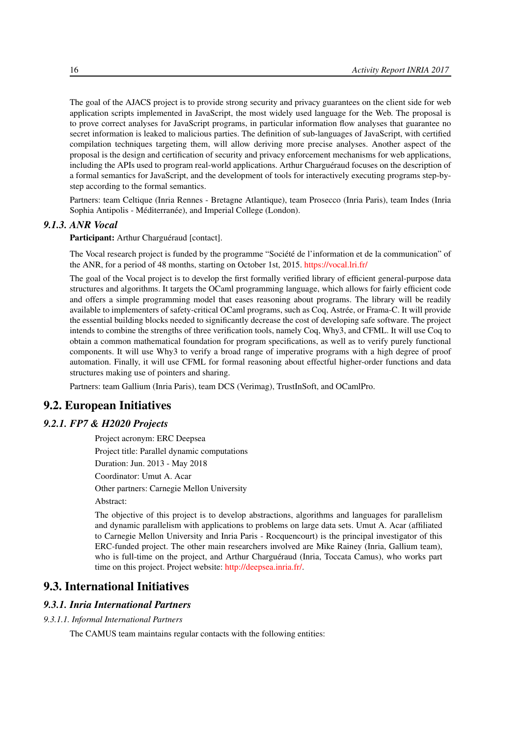The goal of the AJACS project is to provide strong security and privacy guarantees on the client side for web application scripts implemented in JavaScript, the most widely used language for the Web. The proposal is to prove correct analyses for JavaScript programs, in particular information flow analyses that guarantee no secret information is leaked to malicious parties. The definition of sub-languages of JavaScript, with certified compilation techniques targeting them, will allow deriving more precise analyses. Another aspect of the proposal is the design and certification of security and privacy enforcement mechanisms for web applications, including the APIs used to program real-world applications. Arthur Charguéraud focuses on the description of a formal semantics for JavaScript, and the development of tools for interactively executing programs step-bystep according to the formal semantics.

Partners: team Celtique (Inria Rennes - Bretagne Atlantique), team Prosecco (Inria Paris), team Indes (Inria Sophia Antipolis - Méditerranée), and Imperial College (London).

### *9.1.3. ANR Vocal*

<span id="page-19-0"></span>Participant: Arthur Charguéraud [contact].

The Vocal research project is funded by the programme "Société de l'information et de la communication" of the ANR, for a period of 48 months, starting on October 1st, 2015. <https://vocal.lri.fr/>

The goal of the Vocal project is to develop the first formally verified library of efficient general-purpose data structures and algorithms. It targets the OCaml programming language, which allows for fairly efficient code and offers a simple programming model that eases reasoning about programs. The library will be readily available to implementers of safety-critical OCaml programs, such as Coq, Astrée, or Frama-C. It will provide the essential building blocks needed to significantly decrease the cost of developing safe software. The project intends to combine the strengths of three verification tools, namely Coq, Why3, and CFML. It will use Coq to obtain a common mathematical foundation for program specifications, as well as to verify purely functional components. It will use Why3 to verify a broad range of imperative programs with a high degree of proof automation. Finally, it will use CFML for formal reasoning about effectful higher-order functions and data structures making use of pointers and sharing.

<span id="page-19-1"></span>Partners: team Gallium (Inria Paris), team DCS (Verimag), TrustInSoft, and OCamlPro.

# 9.2. European Initiatives

### *9.2.1. FP7 & H2020 Projects*

Project acronym: ERC Deepsea

Project title: Parallel dynamic computations

Duration: Jun. 2013 - May 2018

Coordinator: Umut A. Acar

Other partners: Carnegie Mellon University

Abstract:

The objective of this project is to develop abstractions, algorithms and languages for parallelism and dynamic parallelism with applications to problems on large data sets. Umut A. Acar (affiliated to Carnegie Mellon University and Inria Paris - Rocquencourt) is the principal investigator of this ERC-funded project. The other main researchers involved are Mike Rainey (Inria, Gallium team), who is full-time on the project, and Arthur Charguéraud (Inria, Toccata Camus), who works part time on this project. Project website: [http://deepsea.inria.fr/.](http://deepsea.inria.fr/)

# <span id="page-19-2"></span>9.3. International Initiatives

### *9.3.1. Inria International Partners*

### *9.3.1.1. Informal International Partners*

The CAMUS team maintains regular contacts with the following entities: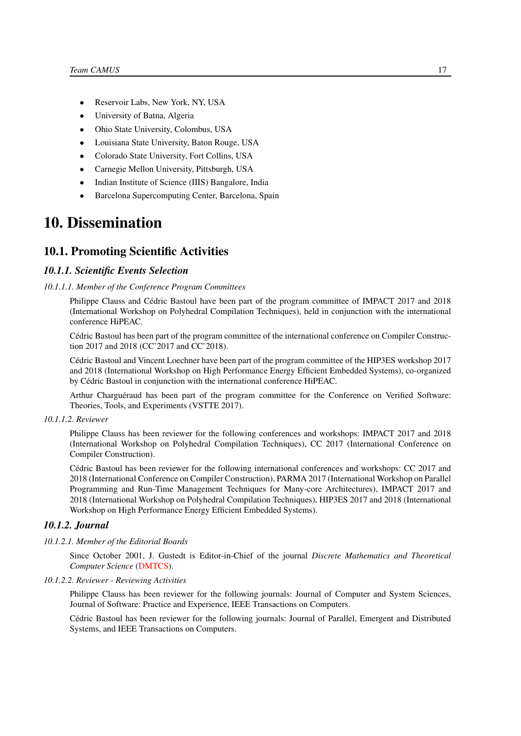- Reservoir Labs, New York, NY, USA
- University of Batna, Algeria
- Ohio State University, Colombus, USA
- Louisiana State University, Baton Rouge, USA
- Colorado State University, Fort Collins, USA
- Carnegie Mellon University, Pittsburgh, USA
- Indian Institute of Science (IIIS) Bangalore, India
- <span id="page-20-0"></span>• Barcelona Supercomputing Center, Barcelona, Spain

# 10. Dissemination

### <span id="page-20-1"></span>10.1. Promoting Scientific Activities

#### <span id="page-20-2"></span>*10.1.1. Scientific Events Selection*

#### *10.1.1.1. Member of the Conference Program Committees*

<span id="page-20-3"></span>Philippe Clauss and Cédric Bastoul have been part of the program committee of IMPACT 2017 and 2018 (International Workshop on Polyhedral Compilation Techniques), held in conjunction with the international conference HiPEAC.

Cédric Bastoul has been part of the program committee of the international conference on Compiler Construction 2017 and 2018 (CC'2017 and CC'2018).

Cédric Bastoul and Vincent Loechner have been part of the program committee of the HIP3ES workshop 2017 and 2018 (International Workshop on High Performance Energy Efficient Embedded Systems), co-organized by Cédric Bastoul in conjunction with the international conference HiPEAC.

Arthur Charguéraud has been part of the program committee for the Conference on Verified Software: Theories, Tools, and Experiments (VSTTE 2017).

### *10.1.1.2. Reviewer*

<span id="page-20-4"></span>Philippe Clauss has been reviewer for the following conferences and workshops: IMPACT 2017 and 2018 (International Workshop on Polyhedral Compilation Techniques), CC 2017 (International Conference on Compiler Construction).

Cédric Bastoul has been reviewer for the following international conferences and workshops: CC 2017 and 2018 (International Conference on Compiler Construction), PARMA 2017 (International Workshop on Parallel Programming and Run-Time Management Techniques for Many-core Architectures), IMPACT 2017 and 2018 (International Workshop on Polyhedral Compilation Techniques), HIP3ES 2017 and 2018 (International Workshop on High Performance Energy Efficient Embedded Systems).

### <span id="page-20-5"></span>*10.1.2. Journal*

#### *10.1.2.1. Member of the Editorial Boards*

<span id="page-20-6"></span>Since October 2001, J. Gustedt is Editor-in-Chief of the journal *Discrete Mathematics and Theoretical Computer Science* [\(DMTCS\)](http://dmtcs.episciences.org/).

*10.1.2.2. Reviewer - Reviewing Activities*

<span id="page-20-7"></span>Philippe Clauss has been reviewer for the following journals: Journal of Computer and System Sciences, Journal of Software: Practice and Experience, IEEE Transactions on Computers.

Cédric Bastoul has been reviewer for the following journals: Journal of Parallel, Emergent and Distributed Systems, and IEEE Transactions on Computers.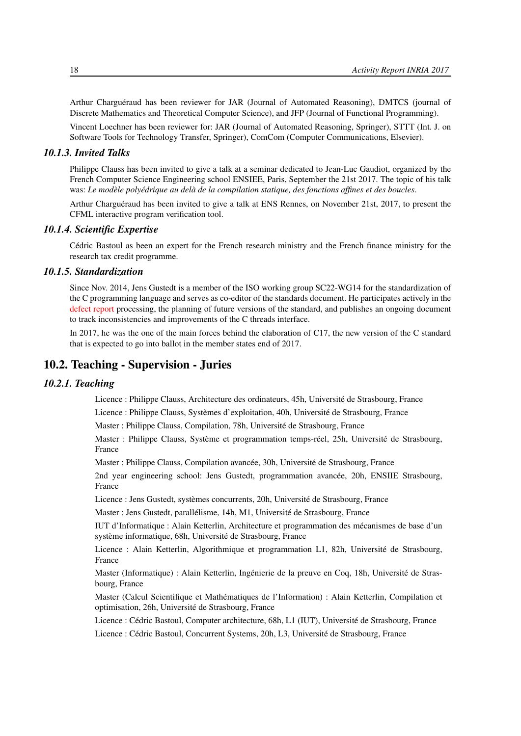Arthur Charguéraud has been reviewer for JAR (Journal of Automated Reasoning), DMTCS (journal of Discrete Mathematics and Theoretical Computer Science), and JFP (Journal of Functional Programming).

Vincent Loechner has been reviewer for: JAR (Journal of Automated Reasoning, Springer), STTT (Int. J. on Software Tools for Technology Transfer, Springer), ComCom (Computer Communications, Elsevier).

### *10.1.3. Invited Talks*

<span id="page-21-0"></span>Philippe Clauss has been invited to give a talk at a seminar dedicated to Jean-Luc Gaudiot, organized by the French Computer Science Engineering school ENSIEE, Paris, September the 21st 2017. The topic of his talk was: *Le modèle polyédrique au delà de la compilation statique, des fonctions affines et des boucles*.

Arthur Charguéraud has been invited to give a talk at ENS Rennes, on November 21st, 2017, to present the CFML interactive program verification tool.

### *10.1.4. Scientific Expertise*

<span id="page-21-1"></span>Cédric Bastoul as been an expert for the French research ministry and the French finance ministry for the research tax credit programme.

### *10.1.5. Standardization*

<span id="page-21-2"></span>Since Nov. 2014, Jens Gustedt is a member of the ISO working group SC22-WG14 for the standardization of the C programming language and serves as co-editor of the standards document. He participates actively in the [defect report](http://www.open-std.org/jtc1/sc22/wg14/www/docs/summary.htm) processing, the planning of future versions of the standard, and publishes an ongoing document to track inconsistencies and improvements of the C threads interface.

<span id="page-21-3"></span>In 2017, he was the one of the main forces behind the elaboration of C17, the new version of the C standard that is expected to go into ballot in the member states end of 2017.

## 10.2. Teaching - Supervision - Juries

### <span id="page-21-4"></span>*10.2.1. Teaching*

Licence : Philippe Clauss, Architecture des ordinateurs, 45h, Université de Strasbourg, France

Licence : Philippe Clauss, Systèmes d'exploitation, 40h, Université de Strasbourg, France

Master : Philippe Clauss, Compilation, 78h, Université de Strasbourg, France

Master : Philippe Clauss, Système et programmation temps-réel, 25h, Université de Strasbourg, France

Master : Philippe Clauss, Compilation avancée, 30h, Université de Strasbourg, France

2nd year engineering school: Jens Gustedt, programmation avancée, 20h, ENSIIE Strasbourg, France

Licence : Jens Gustedt, systèmes concurrents, 20h, Université de Strasbourg, France

Master : Jens Gustedt, parallélisme, 14h, M1, Université de Strasbourg, France

IUT d'Informatique : Alain Ketterlin, Architecture et programmation des mécanismes de base d'un système informatique, 68h, Université de Strasbourg, France

Licence : Alain Ketterlin, Algorithmique et programmation L1, 82h, Université de Strasbourg, France

Master (Informatique) : Alain Ketterlin, Ingénierie de la preuve en Coq, 18h, Université de Strasbourg, France

Master (Calcul Scientifique et Mathématiques de l'Information) : Alain Ketterlin, Compilation et optimisation, 26h, Université de Strasbourg, France

Licence : Cédric Bastoul, Computer architecture, 68h, L1 (IUT), Université de Strasbourg, France

Licence : Cédric Bastoul, Concurrent Systems, 20h, L3, Université de Strasbourg, France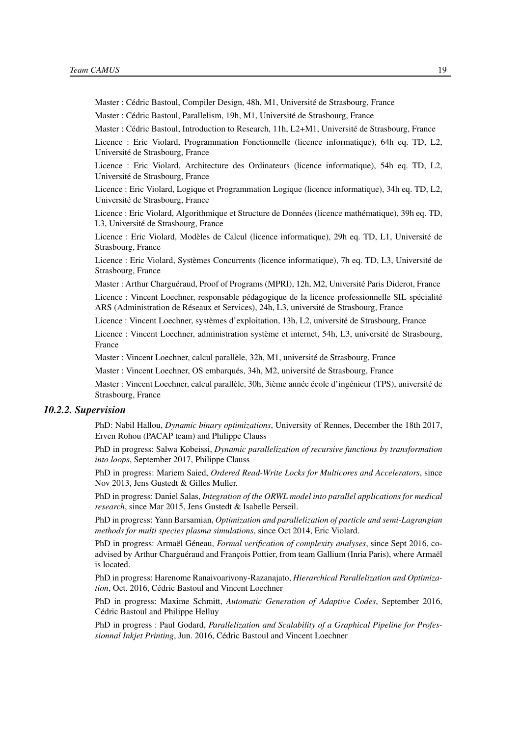Master : Cédric Bastoul, Compiler Design, 48h, M1, Université de Strasbourg, France

Master : Cédric Bastoul, Parallelism, 19h, M1, Université de Strasbourg, France

Master : Cédric Bastoul, Introduction to Research, 11h, L2+M1, Université de Strasbourg, France

Licence : Eric Violard, Programmation Fonctionnelle (licence informatique), 64h eq. TD, L2, Université de Strasbourg, France

Licence : Eric Violard, Architecture des Ordinateurs (licence informatique), 54h eq. TD, L2, Université de Strasbourg, France

Licence : Eric Violard, Logique et Programmation Logique (licence informatique), 34h eq. TD, L2, Université de Strasbourg, France

Licence : Eric Violard, Algorithmique et Structure de Données (licence mathématique), 39h eq. TD, L3, Université de Strasbourg, France

Licence : Eric Violard, Modèles de Calcul (licence informatique), 29h eq. TD, L1, Université de Strasbourg, France

Licence : Eric Violard, Systèmes Concurrents (licence informatique), 7h eq. TD, L3, Université de Strasbourg, France

Master : Arthur Charguéraud, Proof of Programs (MPRI), 12h, M2, Université Paris Diderot, France Licence : Vincent Loechner, responsable pédagogique de la licence professionnelle SIL spécialité ARS (Administration de Réseaux et Services), 24h, L3, université de Strasbourg, France

Licence : Vincent Loechner, systèmes d'exploitation, 13h, L2, université de Strasbourg, France

Licence : Vincent Loechner, administration système et internet, 54h, L3, université de Strasbourg, France

Master : Vincent Loechner, calcul parallèle, 32h, M1, université de Strasbourg, France

Master : Vincent Loechner, OS embarqués, 34h, M2, université de Strasbourg, France

Master : Vincent Loechner, calcul parallèle, 30h, 3ième année école d'ingénieur (TPS), université de Strasbourg, France

### <span id="page-22-0"></span>*10.2.2. Supervision*

PhD: Nabil Hallou, *Dynamic binary optimizations*, University of Rennes, December the 18th 2017, Erven Rohou (PACAP team) and Philippe Clauss

PhD in progress: Salwa Kobeissi, *Dynamic parallelization of recursive functions by transformation into loops*, September 2017, Philippe Clauss

PhD in progress: Mariem Saied, *Ordered Read-Write Locks for Multicores and Accelerators*, since Nov 2013, Jens Gustedt & Gilles Muller.

PhD in progress: Daniel Salas, *Integration of the ORWL model into parallel applications for medical research*, since Mar 2015, Jens Gustedt & Isabelle Perseil.

PhD in progress: Yann Barsamian, *Optimization and parallelization of particle and semi-Lagrangian methods for multi species plasma simulations*, since Oct 2014, Eric Violard.

PhD in progress: Armaël Géneau, *Formal verification of complexity analyses*, since Sept 2016, coadvised by Arthur Charguéraud and François Pottier, from team Gallium (Inria Paris), where Armaël is located.

PhD in progress: Harenome Ranaivoarivony-Razanajato, *Hierarchical Parallelization and Optimization*, Oct. 2016, Cédric Bastoul and Vincent Loechner

PhD in progress: Maxime Schmitt, *Automatic Generation of Adaptive Codes*, September 2016, Cédric Bastoul and Philippe Helluy

PhD in progress : Paul Godard, *Parallelization and Scalability of a Graphical Pipeline for Professionnal Inkjet Printing*, Jun. 2016, Cédric Bastoul and Vincent Loechner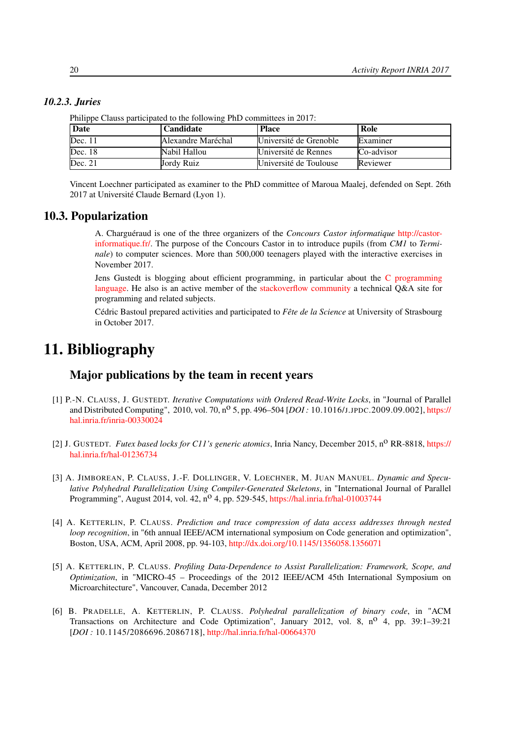| Prilippe Clauss participated to the following PhD committees in 2017. |                    |                        |            |  |  |  |  |
|-----------------------------------------------------------------------|--------------------|------------------------|------------|--|--|--|--|
| <b>Date</b>                                                           | <b>Candidate</b>   | <b>Place</b>           | Role       |  |  |  |  |
| Dec. 11                                                               | Alexandre Maréchal | Université de Grenoble | Examiner   |  |  |  |  |
| Dec. 18                                                               | Nabil Hallou       | Université de Rennes   | Co-advisor |  |  |  |  |
| Dec. 21                                                               | Jordy Ruiz         | Université de Toulouse | Reviewer   |  |  |  |  |

*10.2.3. Juries*

<span id="page-23-0"></span>

<span id="page-23-1"></span>Vincent Loechner participated as examiner to the PhD committee of Maroua Maalej, defended on Sept. 26th 2017 at Université Claude Bernard (Lyon 1).

### 10.3. Popularization

A. Charguéraud is one of the three organizers of the *Concours Castor informatique* [http://castor](http://castor-informatique.fr/)[informatique.fr/.](http://castor-informatique.fr/) The purpose of the Concours Castor in to introduce pupils (from *CM1* to *Terminale*) to computer sciences. More than 500,000 teenagers played with the interactive exercises in November 2017.

Jens Gustedt is blogging about efficient programming, in particular about the [C programming](http://gustedt.wordpress.com/) [language.](http://gustedt.wordpress.com/) He also is an active member of the [stackoverflow community](http://stackoverflow.com/questions/tagged/c) a technical Q&A site for programming and related subjects.

Cédric Bastoul prepared activities and participated to *Fête de la Science* at University of Strasbourg in October 2017.

# <span id="page-23-2"></span>11. Bibliography

# Major publications by the team in recent years

- <span id="page-23-3"></span>[1] P.-N. CLAUSS, J. GUSTEDT. *Iterative Computations with Ordered Read-Write Locks*, in "Journal of Parallel and Distributed Computing", 2010, vol. 70, no 5, pp. 496–504 [*DOI :* 10.1016/J.JPDC.2009.09.002], [https://](https://hal.inria.fr/inria-00330024) [hal.inria.fr/inria-00330024](https://hal.inria.fr/inria-00330024)
- [2] J. GUSTEDT. *Futex based locks for C11's generic atomics*, Inria Nancy, December 2015, n<sup>o</sup> RR-8818, [https://](https://hal.inria.fr/hal-01236734) [hal.inria.fr/hal-01236734](https://hal.inria.fr/hal-01236734)
- [3] A. JIMBOREAN, P. CLAUSS, J.-F. DOLLINGER, V. LOECHNER, M. JUAN MANUEL. *Dynamic and Speculative Polyhedral Parallelization Using Compiler-Generated Skeletons*, in "International Journal of Parallel Programming", August 2014, vol. 42, n<sup>o</sup> 4, pp. 529-545, <https://hal.inria.fr/hal-01003744>
- [4] A. KETTERLIN, P. CLAUSS. *Prediction and trace compression of data access addresses through nested loop recognition*, in "6th annual IEEE/ACM international symposium on Code generation and optimization", Boston, USA, ACM, April 2008, pp. 94-103, <http://dx.doi.org/10.1145/1356058.1356071>
- [5] A. KETTERLIN, P. CLAUSS. *Profiling Data-Dependence to Assist Parallelization: Framework, Scope, and Optimization*, in "MICRO-45 – Proceedings of the 2012 IEEE/ACM 45th International Symposium on Microarchitecture", Vancouver, Canada, December 2012
- [6] B. PRADELLE, A. KETTERLIN, P. CLAUSS. *Polyhedral parallelization of binary code*, in "ACM Transactions on Architecture and Code Optimization", January 2012, vol. 8,  $n^0$  4, pp. 39:1–39:21 [*DOI :* 10.1145/2086696.2086718], <http://hal.inria.fr/hal-00664370>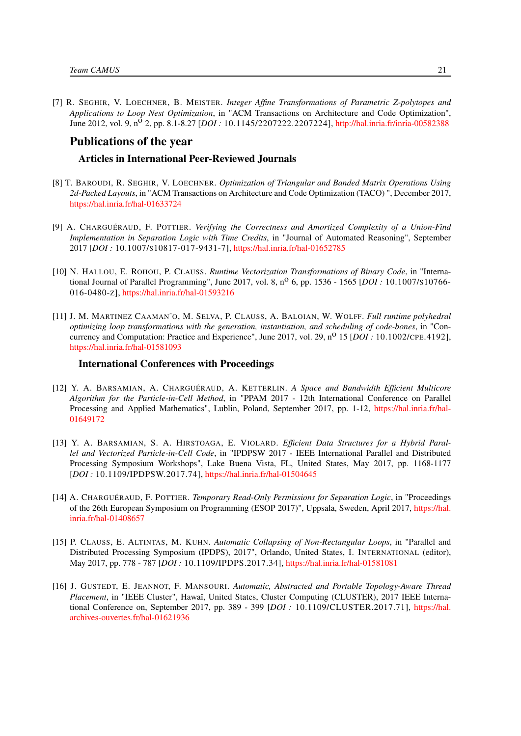[7] R. SEGHIR, V. LOECHNER, B. MEISTER. *Integer Affine Transformations of Parametric Z-polytopes and Applications to Loop Nest Optimization*, in "ACM Transactions on Architecture and Code Optimization", June 2012, vol. 9, n<sup>o</sup> 2, pp. 8.1-8.27 [*DOI*: 10.1145/2207222.2207224], <http://hal.inria.fr/inria-00582388>

# Publications of the year

### Articles in International Peer-Reviewed Journals

- <span id="page-24-6"></span>[8] T. BAROUDI, R. SEGHIR, V. LOECHNER. *Optimization of Triangular and Banded Matrix Operations Using 2d-Packed Layouts*, in "ACM Transactions on Architecture and Code Optimization (TACO) ", December 2017, <https://hal.inria.fr/hal-01633724>
- <span id="page-24-3"></span>[9] A. CHARGUÉRAUD, F. POTTIER. *Verifying the Correctness and Amortized Complexity of a Union-Find Implementation in Separation Logic with Time Credits*, in "Journal of Automated Reasoning", September 2017 [*DOI :* 10.1007/S10817-017-9431-7], <https://hal.inria.fr/hal-01652785>
- [10] N. HALLOU, E. ROHOU, P. CLAUSS. *Runtime Vectorization Transformations of Binary Code*, in "International Journal of Parallel Programming", June 2017, vol. 8, n<sup>o</sup> 6, pp. 1536 - 1565 [*DOI* : 10.1007/s10766-016-0480-Z], <https://hal.inria.fr/hal-01593216>
- <span id="page-24-1"></span>[11] J. M. MARTINEZ CAAMAN˜O, M. SELVA, P. CLAUSS, A. BALOIAN, W. WOLFF. *Full runtime polyhedral optimizing loop transformations with the generation, instantiation, and scheduling of code-bones*, in "Concurrency and Computation: Practice and Experience", June 2017, vol. 29, n<sup>o</sup> 15 [*DOI* : 10.1002/CPE.4192], <https://hal.inria.fr/hal-01581093>

### International Conferences with Proceedings

- <span id="page-24-2"></span>[12] Y. A. BARSAMIAN, A. CHARGUÉRAUD, A. KETTERLIN. *A Space and Bandwidth Efficient Multicore Algorithm for the Particle-in-Cell Method*, in "PPAM 2017 - 12th International Conference on Parallel Processing and Applied Mathematics", Lublin, Poland, September 2017, pp. 1-12, [https://hal.inria.fr/hal-](https://hal.inria.fr/hal-01649172)[01649172](https://hal.inria.fr/hal-01649172)
- [13] Y. A. BARSAMIAN, S. A. HIRSTOAGA, E. VIOLARD. *Efficient Data Structures for a Hybrid Parallel and Vectorized Particle-in-Cell Code*, in "IPDPSW 2017 - IEEE International Parallel and Distributed Processing Symposium Workshops", Lake Buena Vista, FL, United States, May 2017, pp. 1168-1177 [*DOI :* 10.1109/IPDPSW.2017.74], <https://hal.inria.fr/hal-01504645>
- <span id="page-24-4"></span>[14] A. CHARGUÉRAUD, F. POTTIER. *Temporary Read-Only Permissions for Separation Logic*, in "Proceedings of the 26th European Symposium on Programming (ESOP 2017)", Uppsala, Sweden, April 2017, [https://hal.](https://hal.inria.fr/hal-01408657) [inria.fr/hal-01408657](https://hal.inria.fr/hal-01408657)
- <span id="page-24-0"></span>[15] P. CLAUSS, E. ALTINTAS, M. KUHN. *Automatic Collapsing of Non-Rectangular Loops*, in "Parallel and Distributed Processing Symposium (IPDPS), 2017", Orlando, United States, I. INTERNATIONAL (editor), May 2017, pp. 778 - 787 [*DOI :* 10.1109/IPDPS.2017.34], <https://hal.inria.fr/hal-01581081>
- <span id="page-24-5"></span>[16] J. GUSTEDT, E. JEANNOT, F. MANSOURI. *Automatic, Abstracted and Portable Topology-Aware Thread Placement*, in "IEEE Cluster", Hawaï, United States, Cluster Computing (CLUSTER), 2017 IEEE International Conference on, September 2017, pp. 389 - 399 [*DOI :* 10.1109/CLUSTER.2017.71], [https://hal.](https://hal.archives-ouvertes.fr/hal-01621936) [archives-ouvertes.fr/hal-01621936](https://hal.archives-ouvertes.fr/hal-01621936)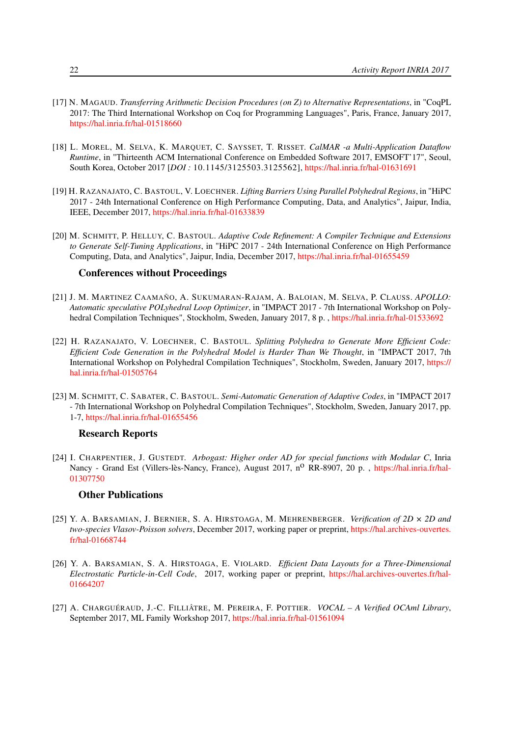- [17] N. MAGAUD. *Transferring Arithmetic Decision Procedures (on Z) to Alternative Representations*, in "CoqPL 2017: The Third International Workshop on Coq for Programming Languages", Paris, France, January 2017, <https://hal.inria.fr/hal-01518660>
- [18] L. MOREL, M. SELVA, K. MARQUET, C. SAYSSET, T. RISSET. *CalMAR -a Multi-Application Dataflow Runtime*, in "Thirteenth ACM International Conference on Embedded Software 2017, EMSOFT'17", Seoul, South Korea, October 2017 [*DOI :* 10.1145/3125503.3125562], <https://hal.inria.fr/hal-01631691>
- <span id="page-25-1"></span>[19] H. RAZANAJATO, C. BASTOUL, V. LOECHNER. *Lifting Barriers Using Parallel Polyhedral Regions*, in "HiPC 2017 - 24th International Conference on High Performance Computing, Data, and Analytics", Jaipur, India, IEEE, December 2017, <https://hal.inria.fr/hal-01633839>
- <span id="page-25-0"></span>[20] M. SCHMITT, P. HELLUY, C. BASTOUL. *Adaptive Code Refinement: A Compiler Technique and Extensions to Generate Self-Tuning Applications*, in "HiPC 2017 - 24th International Conference on High Performance Computing, Data, and Analytics", Jaipur, India, December 2017, <https://hal.inria.fr/hal-01655459>

### Conferences without Proceedings

- [21] J. M. MARTINEZ CAAMAÑO, A. SUKUMARAN-RAJAM, A. BALOIAN, M. SELVA, P. CLAUSS. *APOLLO: Automatic speculative POLyhedral Loop Optimizer*, in "IMPACT 2017 - 7th International Workshop on Polyhedral Compilation Techniques", Stockholm, Sweden, January 2017, 8 p. , <https://hal.inria.fr/hal-01533692>
- [22] H. RAZANAJATO, V. LOECHNER, C. BASTOUL. *Splitting Polyhedra to Generate More Efficient Code: Efficient Code Generation in the Polyhedral Model is Harder Than We Thought*, in "IMPACT 2017, 7th International Workshop on Polyhedral Compilation Techniques", Stockholm, Sweden, January 2017, [https://](https://hal.inria.fr/hal-01505764) [hal.inria.fr/hal-01505764](https://hal.inria.fr/hal-01505764)
- [23] M. SCHMITT, C. SABATER, C. BASTOUL. *Semi-Automatic Generation of Adaptive Codes*, in "IMPACT 2017 - 7th International Workshop on Polyhedral Compilation Techniques", Stockholm, Sweden, January 2017, pp. 1-7, <https://hal.inria.fr/hal-01655456>

### Research Reports

[24] I. CHARPENTIER, J. GUSTEDT. *Arbogast: Higher order AD for special functions with Modular C*, Inria Nancy - Grand Est (Villers-lès-Nancy, France), August 2017, n<sup>o</sup> RR-8907, 20 p., [https://hal.inria.fr/hal-](https://hal.inria.fr/hal-01307750)[01307750](https://hal.inria.fr/hal-01307750)

## Other Publications

- [25] Y. A. BARSAMIAN, J. BERNIER, S. A. HIRSTOAGA, M. MEHRENBERGER. *Verification of 2D × 2D and two-species Vlasov-Poisson solvers*, December 2017, working paper or preprint, [https://hal.archives-ouvertes.](https://hal.archives-ouvertes.fr/hal-01668744) [fr/hal-01668744](https://hal.archives-ouvertes.fr/hal-01668744)
- [26] Y. A. BARSAMIAN, S. A. HIRSTOAGA, E. VIOLARD. *Efficient Data Layouts for a Three-Dimensional Electrostatic Particle-in-Cell Code*, 2017, working paper or preprint, [https://hal.archives-ouvertes.fr/hal-](https://hal.archives-ouvertes.fr/hal-01664207)[01664207](https://hal.archives-ouvertes.fr/hal-01664207)
- [27] A. CHARGUÉRAUD, J.-C. FILLIÂTRE, M. PEREIRA, F. POTTIER. *VOCAL A Verified OCAml Library*, September 2017, ML Family Workshop 2017, <https://hal.inria.fr/hal-01561094>